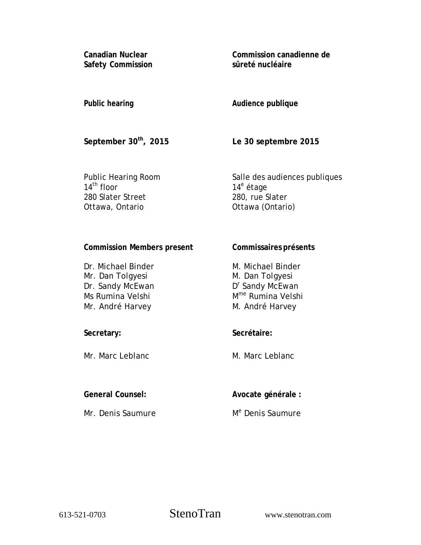**Canadian Nuclear Safety Commission**  **Commission canadienne de sûreté nucléaire** 

# **Public hearing**

**Audience publique** 

**September 30th, 2015** 

**Le 30 septembre 2015** 

**Commissaires présents** 

Public Hearing Room 14<sup>th</sup> floor 280 Slater Street Ottawa, Ontario

Salle des audiences publiques 14<sup>e</sup> étage 280, rue Slater Ottawa (Ontario)

# **Commission Members present**

| Dr. Michael Binder | M. Michael Binder             |
|--------------------|-------------------------------|
| Mr. Dan Tolgyesi   | M. Dan Tolgyesi               |
| Dr. Sandy McEwan   | D <sup>r</sup> Sandy McEwan   |
| Ms Rumina Velshi   | M <sup>me</sup> Rumina Velshi |
| Mr. André Harvey   | M. André Harvey               |

# **Secretary:**

Mr. Marc Leblanc

# **General Counsel:**

Mr. Denis Saumure

**Secrétaire:** 

M. Marc Leblanc

**Avocate générale :** 

M<sup>e</sup> Denis Saumure

613-521-0703 StenoTran www.stenotran.com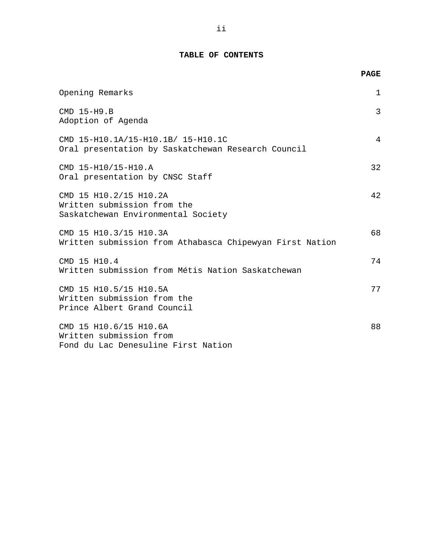# **TABLE OF CONTENTS**

**PAGE** 

| Opening Remarks                                                                             | $\mathbf 1$    |
|---------------------------------------------------------------------------------------------|----------------|
| CMD 15-H9.B<br>Adoption of Agenda                                                           | $\overline{3}$ |
| CMD 15-H10.1A/15-H10.1B/ 15-H10.1C<br>Oral presentation by Saskatchewan Research Council    | 4              |
| CMD 15-H10/15-H10.A<br>Oral presentation by CNSC Staff                                      | 32             |
| CMD 15 H10.2/15 H10.2A<br>Written submission from the<br>Saskatchewan Environmental Society | 42             |
| CMD 15 H10.3/15 H10.3A<br>Written submission from Athabasca Chipewyan First Nation          | 68             |
| CMD 15 H10.4<br>Written submission from Métis Nation Saskatchewan                           | 74             |
| CMD 15 H10.5/15 H10.5A<br>Written submission from the<br>Prince Albert Grand Council        | 77             |
| CMD 15 H10.6/15 H10.6A<br>Written submission from<br>Fond du Lac Denesuline First Nation    | 88             |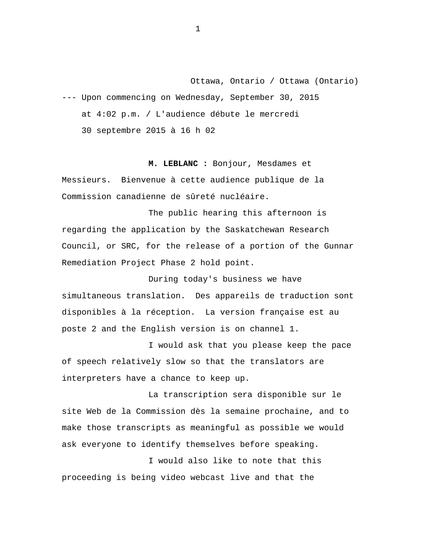<span id="page-2-0"></span>Ottawa, Ontario / Ottawa (Ontario) --- Upon commencing on Wednesday, September 30, 2015 at 4:02 p.m. / L'audience débute le mercredi

30 septembre 2015 à 16 h 02

**M. LEBLANC :** Bonjour, Mesdames et Messieurs. Bienvenue à cette audience publique de la Commission canadienne de sûreté nucléaire.

The public hearing this afternoon is regarding the application by the Saskatchewan Research Council, or SRC, for the release of a portion of the Gunnar Remediation Project Phase 2 hold point.

During today's business we have simultaneous translation. Des appareils de traduction sont disponibles à la réception. La version française est au poste 2 and the English version is on channel 1.

I would ask that you please keep the pace of speech relatively slow so that the translators are interpreters have a chance to keep up.

La transcription sera disponible sur le site Web de la Commission dès la semaine prochaine, and to make those transcripts as meaningful as possible we would ask everyone to identify themselves before speaking.

I would also like to note that this proceeding is being video webcast live and that the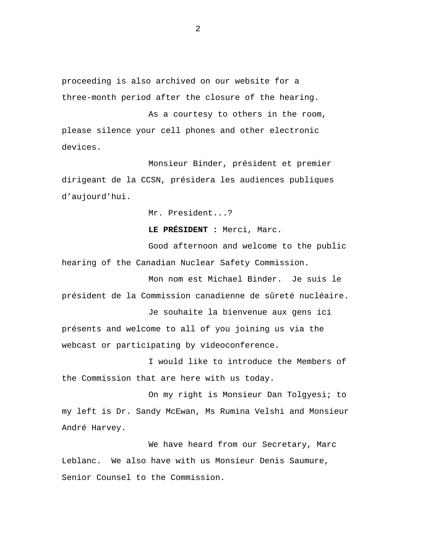proceeding is also archived on our website for a three-month period after the closure of the hearing.

As a courtesy to others in the room, please silence your cell phones and other electronic devices.

Monsieur Binder, président et premier dirigeant de la CCSN, présidera les audiences publiques d'aujourd'hui.

Mr. President...?

**LE PRÉSIDENT :** Merci, Marc.

Good afternoon and welcome to the public hearing of the Canadian Nuclear Safety Commission.

Mon nom est Michael Binder. Je suis le président de la Commission canadienne de sûreté nucléaire.

Je souhaite la bienvenue aux gens ici présents and welcome to all of you joining us via the webcast or participating by videoconference.

I would like to introduce the Members of the Commission that are here with us today.

On my right is Monsieur Dan Tolgyesi; to my left is Dr. Sandy McEwan, Ms Rumina Velshi and Monsieur André Harvey.

We have heard from our Secretary, Marc Leblanc. We also have with us Monsieur Denis Saumure, Senior Counsel to the Commission.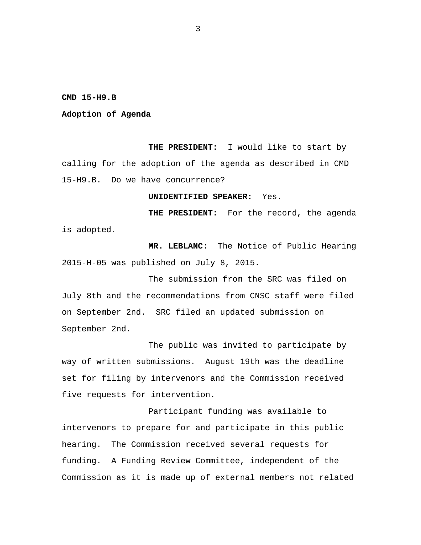#### <span id="page-4-0"></span>**CMD 15-H9.B**

#### **Adoption of Agenda**

**THE PRESIDENT:** I would like to start by calling for the adoption of the agenda as described in CMD 15-H9.B. Do we have concurrence?

## **UNIDENTIFIED SPEAKER:** Yes.

**THE PRESIDENT:** For the record, the agenda is adopted.

 **MR. LEBLANC:** The Notice of Public Hearing 2015-H-05 was published on July 8, 2015.

The submission from the SRC was filed on July 8th and the recommendations from CNSC staff were filed on September 2nd. SRC filed an updated submission on September 2nd.

The public was invited to participate by way of written submissions. August 19th was the deadline set for filing by intervenors and the Commission received five requests for intervention.

Participant funding was available to intervenors to prepare for and participate in this public hearing. The Commission received several requests for funding. A Funding Review Committee, independent of the Commission as it is made up of external members not related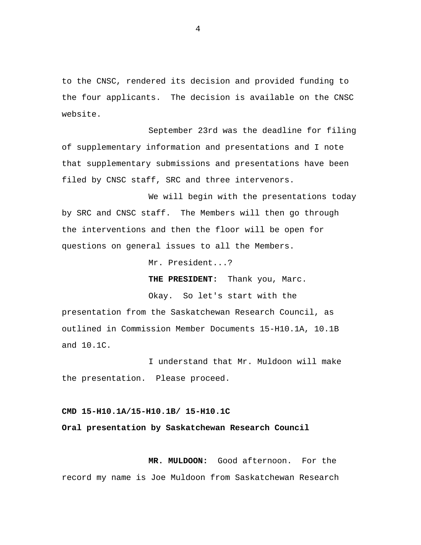to the CNSC, rendered its decision and provided funding to the four applicants. The decision is available on the CNSC website.

September 23rd was the deadline for filing of supplementary information and presentations and I note that supplementary submissions and presentations have been filed by CNSC staff, SRC and three intervenors.

We will begin with the presentations today by SRC and CNSC staff. The Members will then go through the interventions and then the floor will be open for questions on general issues to all the Members.

Mr. President...?

**THE PRESIDENT:** Thank you, Marc.

Okay. So let's start with the

presentation from the Saskatchewan Research Council, as outlined in Commission Member Documents 15-H10.1A, 10.1B and 10.1C.

I understand that Mr. Muldoon will make the presentation. Please proceed.

## **CMD 15-H10.1A/15-H10.1B/ 15-H10.1C**

## **Oral presentation by Saskatchewan Research Council**

 **MR. MULDOON:** Good afternoon. For the record my name is Joe Muldoon from Saskatchewan Research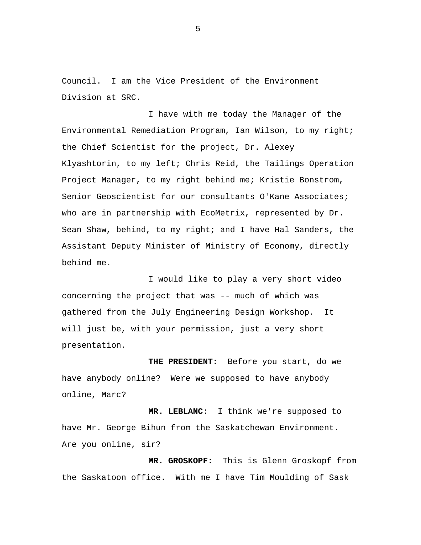Council. I am the Vice President of the Environment Division at SRC.

I have with me today the Manager of the Environmental Remediation Program, Ian Wilson, to my right; the Chief Scientist for the project, Dr. Alexey Klyashtorin, to my left; Chris Reid, the Tailings Operation Project Manager, to my right behind me; Kristie Bonstrom, Senior Geoscientist for our consultants O'Kane Associates; who are in partnership with EcoMetrix, represented by Dr. Sean Shaw, behind, to my right; and I have Hal Sanders, the Assistant Deputy Minister of Ministry of Economy, directly behind me.

I would like to play a very short video concerning the project that was -- much of which was gathered from the July Engineering Design Workshop. It will just be, with your permission, just a very short presentation.

 **THE PRESIDENT:** Before you start, do we have anybody online? Were we supposed to have anybody online, Marc?

 **MR. LEBLANC:** I think we're supposed to have Mr. George Bihun from the Saskatchewan Environment. Are you online, sir?

**MR. GROSKOPF:** This is Glenn Groskopf from the Saskatoon office. With me I have Tim Moulding of Sask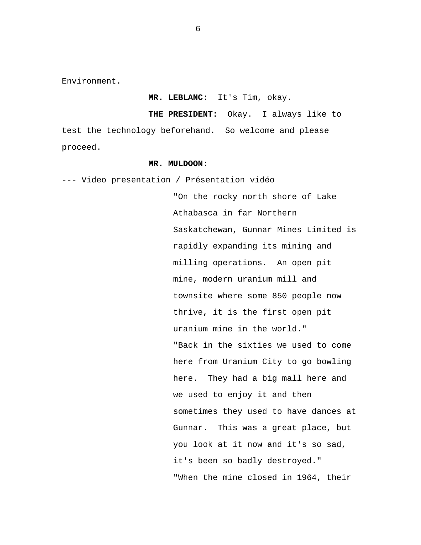Environment.

#### **MR. LEBLANC:** It's Tim, okay.

 **THE PRESIDENT:** Okay. I always like to test the technology beforehand. So welcome and please proceed.

### **MR. MULDOON:**

--- Video presentation / Présentation vidéo

"On the rocky north shore of Lake Athabasca in far Northern Saskatchewan, Gunnar Mines Limited is rapidly expanding its mining and milling operations. An open pit mine, modern uranium mill and townsite where some 850 people now thrive, it is the first open pit uranium mine in the world." "Back in the sixties we used to come here from Uranium City to go bowling here. They had a big mall here and we used to enjoy it and then sometimes they used to have dances at Gunnar. This was a great place, but you look at it now and it's so sad, it's been so badly destroyed." "When the mine closed in 1964, their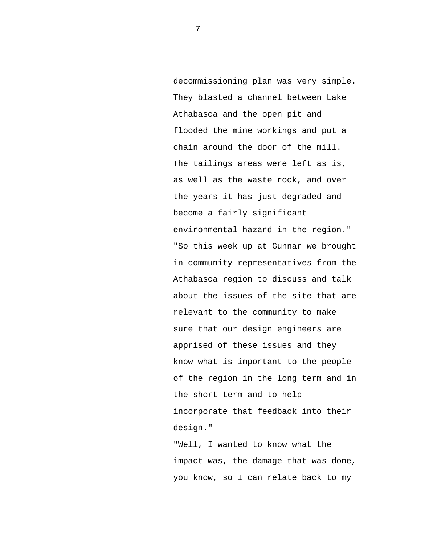decommissioning plan was very simple. They blasted a channel between Lake Athabasca and the open pit and flooded the mine workings and put a chain around the door of the mill. The tailings areas were left as is, as well as the waste rock, and over the years it has just degraded and become a fairly significant environmental hazard in the region." "So this week up at Gunnar we brought in community representatives from the Athabasca region to discuss and talk about the issues of the site that are relevant to the community to make sure that our design engineers are apprised of these issues and they know what is important to the people of the region in the long term and in the short term and to help incorporate that feedback into their design."

"Well, I wanted to know what the impact was, the damage that was done, you know, so I can relate back to my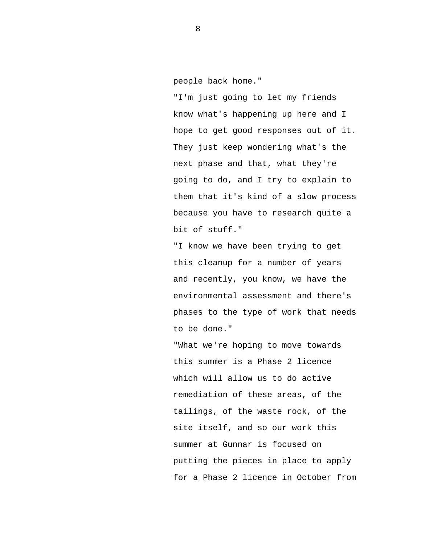people back home."

"I'm just going to let my friends know what's happening up here and I hope to get good responses out of it. They just keep wondering what's the next phase and that, what they're going to do, and I try to explain to them that it's kind of a slow process because you have to research quite a bit of stuff."

"I know we have been trying to get this cleanup for a number of years and recently, you know, we have the environmental assessment and there's phases to the type of work that needs to be done."

"What we're hoping to move towards this summer is a Phase 2 licence which will allow us to do active remediation of these areas, of the tailings, of the waste rock, of the site itself, and so our work this summer at Gunnar is focused on putting the pieces in place to apply for a Phase 2 licence in October from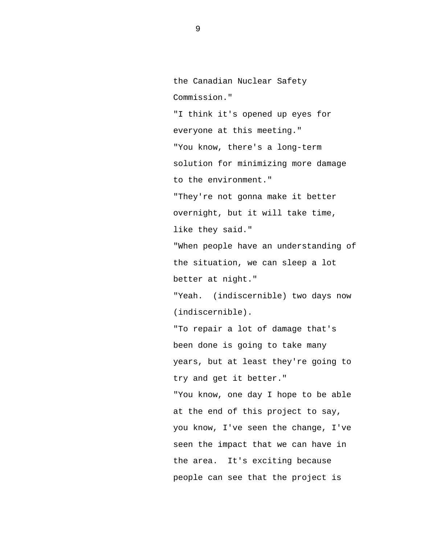the Canadian Nuclear Safety Commission."

"I think it's opened up eyes for everyone at this meeting." "You know, there's a long-term solution for minimizing more damage to the environment."

"They're not gonna make it better overnight, but it will take time, like they said."

"When people have an understanding of the situation, we can sleep a lot better at night."

"Yeah. (indiscernible) two days now (indiscernible).

"To repair a lot of damage that's been done is going to take many years, but at least they're going to try and get it better." "You know, one day I hope to be able at the end of this project to say, you know, I've seen the change, I've seen the impact that we can have in the area. It's exciting because people can see that the project is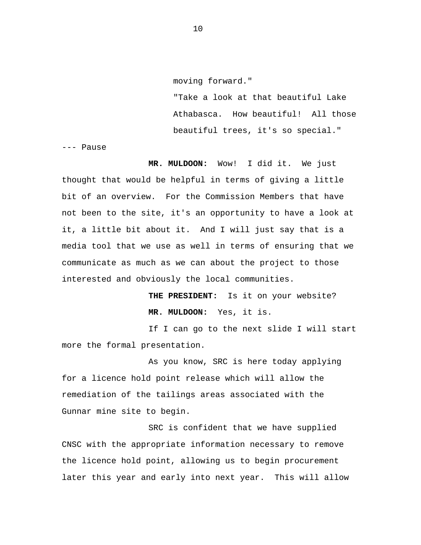"Take a look at that beautiful Lake Athabasca. How beautiful! All those beautiful trees, it's so special."

--- Pause

**MR. MULDOON:** Wow! I did it. We just thought that would be helpful in terms of giving a little bit of an overview. For the Commission Members that have not been to the site, it's an opportunity to have a look at it, a little bit about it. And I will just say that is a media tool that we use as well in terms of ensuring that we communicate as much as we can about the project to those interested and obviously the local communities.

> **THE PRESIDENT:** Is it on your website? **MR. MULDOON:** Yes, it is.

If I can go to the next slide I will start more the formal presentation.

As you know, SRC is here today applying for a licence hold point release which will allow the remediation of the tailings areas associated with the Gunnar mine site to begin.

SRC is confident that we have supplied CNSC with the appropriate information necessary to remove the licence hold point, allowing us to begin procurement later this year and early into next year. This will allow

10

moving forward."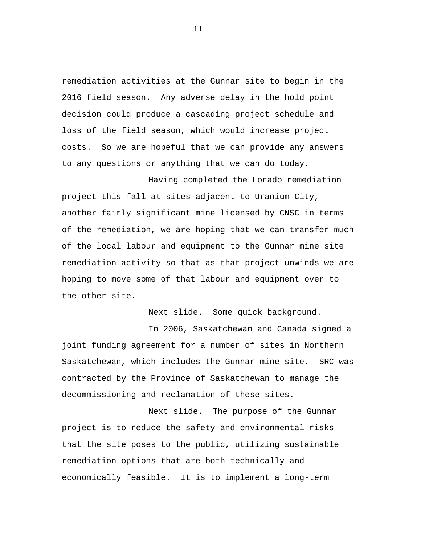remediation activities at the Gunnar site to begin in the 2016 field season. Any adverse delay in the hold point decision could produce a cascading project schedule and loss of the field season, which would increase project costs. So we are hopeful that we can provide any answers to any questions or anything that we can do today.

Having completed the Lorado remediation project this fall at sites adjacent to Uranium City, another fairly significant mine licensed by CNSC in terms of the remediation, we are hoping that we can transfer much of the local labour and equipment to the Gunnar mine site remediation activity so that as that project unwinds we are hoping to move some of that labour and equipment over to the other site.

Next slide. Some quick background.

In 2006, Saskatchewan and Canada signed a joint funding agreement for a number of sites in Northern Saskatchewan, which includes the Gunnar mine site. SRC was contracted by the Province of Saskatchewan to manage the decommissioning and reclamation of these sites.

Next slide. The purpose of the Gunnar project is to reduce the safety and environmental risks that the site poses to the public, utilizing sustainable remediation options that are both technically and economically feasible. It is to implement a long-term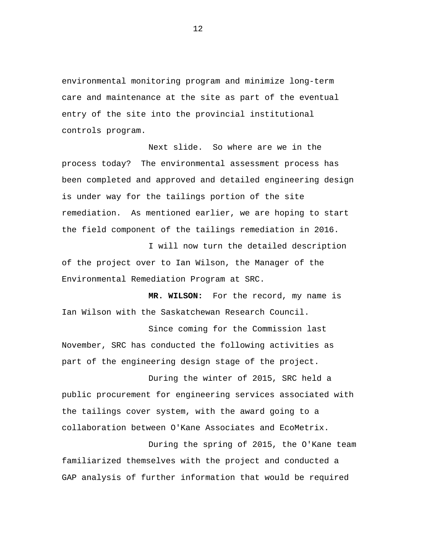environmental monitoring program and minimize long-term care and maintenance at the site as part of the eventual entry of the site into the provincial institutional controls program.

Next slide. So where are we in the process today? The environmental assessment process has been completed and approved and detailed engineering design is under way for the tailings portion of the site remediation. As mentioned earlier, we are hoping to start the field component of the tailings remediation in 2016.

I will now turn the detailed description of the project over to Ian Wilson, the Manager of the Environmental Remediation Program at SRC.

**MR. WILSON:** For the record, my name is Ian Wilson with the Saskatchewan Research Council.

Since coming for the Commission last November, SRC has conducted the following activities as part of the engineering design stage of the project.

During the winter of 2015, SRC held a public procurement for engineering services associated with the tailings cover system, with the award going to a collaboration between O'Kane Associates and EcoMetrix.

During the spring of 2015, the O'Kane team familiarized themselves with the project and conducted a GAP analysis of further information that would be required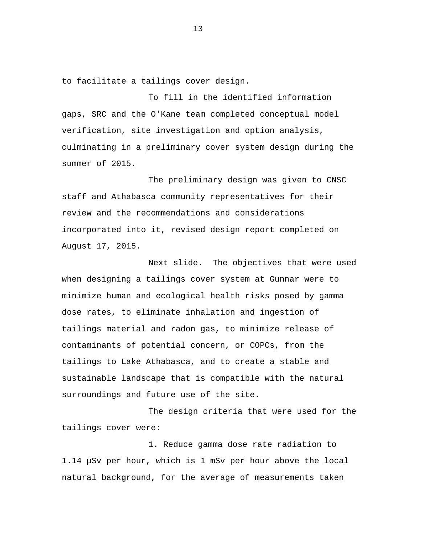to facilitate a tailings cover design.

To fill in the identified information gaps, SRC and the O'Kane team completed conceptual model verification, site investigation and option analysis, culminating in a preliminary cover system design during the summer of 2015.

The preliminary design was given to CNSC staff and Athabasca community representatives for their review and the recommendations and considerations incorporated into it, revised design report completed on August 17, 2015.

Next slide. The objectives that were used when designing a tailings cover system at Gunnar were to minimize human and ecological health risks posed by gamma dose rates, to eliminate inhalation and ingestion of tailings material and radon gas, to minimize release of contaminants of potential concern, or COPCs, from the tailings to Lake Athabasca, and to create a stable and sustainable landscape that is compatible with the natural surroundings and future use of the site.

The design criteria that were used for the tailings cover were:

1. Reduce gamma dose rate radiation to 1.14 µSv per hour, which is 1 mSv per hour above the local natural background, for the average of measurements taken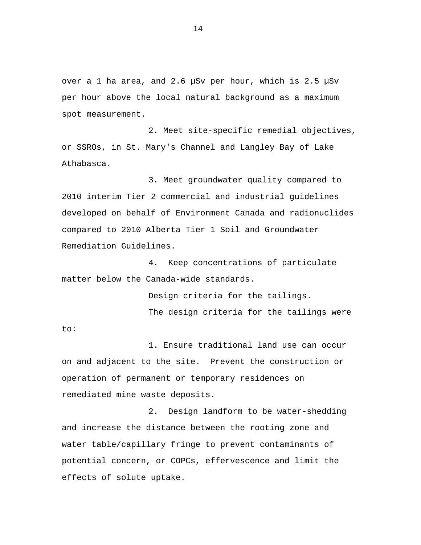over a 1 ha area, and 2.6 µSv per hour, which is 2.5 µSv per hour above the local natural background as a maximum spot measurement.

2. Meet site-specific remedial objectives, or SSROs, in St. Mary's Channel and Langley Bay of Lake Athabasca.

3. Meet groundwater quality compared to 2010 interim Tier 2 commercial and industrial guidelines developed on behalf of Environment Canada and radionuclides compared to 2010 Alberta Tier 1 Soil and Groundwater Remediation Guidelines.

4. Keep concentrations of particulate matter below the Canada-wide standards.

Design criteria for the tailings.

The design criteria for the tailings were

to:

1. Ensure traditional land use can occur on and adjacent to the site. Prevent the construction or operation of permanent or temporary residences on remediated mine waste deposits.

2. Design landform to be water-shedding and increase the distance between the rooting zone and water table/capillary fringe to prevent contaminants of potential concern, or COPCs, effervescence and limit the effects of solute uptake.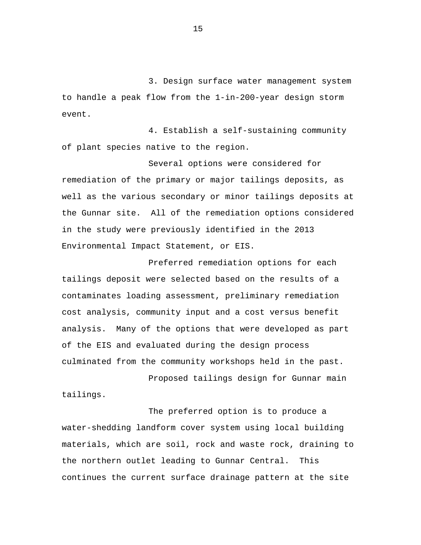3. Design surface water management system to handle a peak flow from the 1-in-200-year design storm event.

4. Establish a self-sustaining community of plant species native to the region.

Several options were considered for remediation of the primary or major tailings deposits, as well as the various secondary or minor tailings deposits at the Gunnar site. All of the remediation options considered in the study were previously identified in the 2013 Environmental Impact Statement, or EIS.

Preferred remediation options for each tailings deposit were selected based on the results of a contaminates loading assessment, preliminary remediation cost analysis, community input and a cost versus benefit analysis. Many of the options that were developed as part of the EIS and evaluated during the design process culminated from the community workshops held in the past.

Proposed tailings design for Gunnar main tailings.

The preferred option is to produce a water-shedding landform cover system using local building materials, which are soil, rock and waste rock, draining to the northern outlet leading to Gunnar Central. This continues the current surface drainage pattern at the site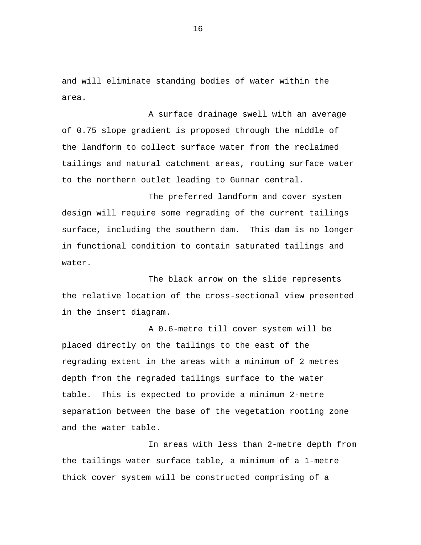and will eliminate standing bodies of water within the area.

A surface drainage swell with an average of 0.75 slope gradient is proposed through the middle of the landform to collect surface water from the reclaimed tailings and natural catchment areas, routing surface water to the northern outlet leading to Gunnar central.

The preferred landform and cover system design will require some regrading of the current tailings surface, including the southern dam. This dam is no longer in functional condition to contain saturated tailings and water.

The black arrow on the slide represents the relative location of the cross-sectional view presented in the insert diagram.

A 0.6-metre till cover system will be placed directly on the tailings to the east of the regrading extent in the areas with a minimum of 2 metres depth from the regraded tailings surface to the water table. This is expected to provide a minimum 2-metre separation between the base of the vegetation rooting zone and the water table.

In areas with less than 2-metre depth from the tailings water surface table, a minimum of a 1-metre thick cover system will be constructed comprising of a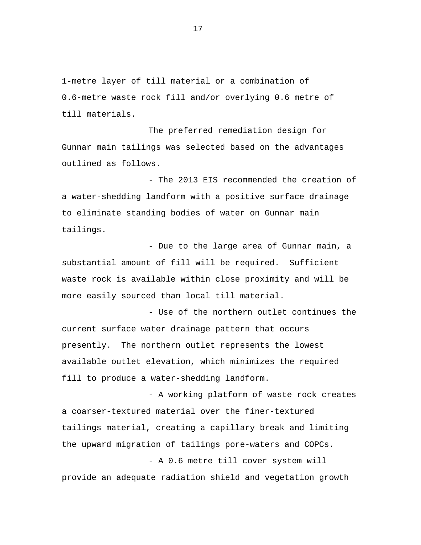1-metre layer of till material or a combination of 0.6-metre waste rock fill and/or overlying 0.6 metre of till materials.

The preferred remediation design for Gunnar main tailings was selected based on the advantages outlined as follows.

- The 2013 EIS recommended the creation of a water-shedding landform with a positive surface drainage to eliminate standing bodies of water on Gunnar main tailings.

- Due to the large area of Gunnar main, a substantial amount of fill will be required. Sufficient waste rock is available within close proximity and will be more easily sourced than local till material.

- Use of the northern outlet continues the current surface water drainage pattern that occurs presently. The northern outlet represents the lowest available outlet elevation, which minimizes the required fill to produce a water-shedding landform.

- A working platform of waste rock creates a coarser-textured material over the finer-textured tailings material, creating a capillary break and limiting the upward migration of tailings pore-waters and COPCs.

- A 0.6 metre till cover system will provide an adequate radiation shield and vegetation growth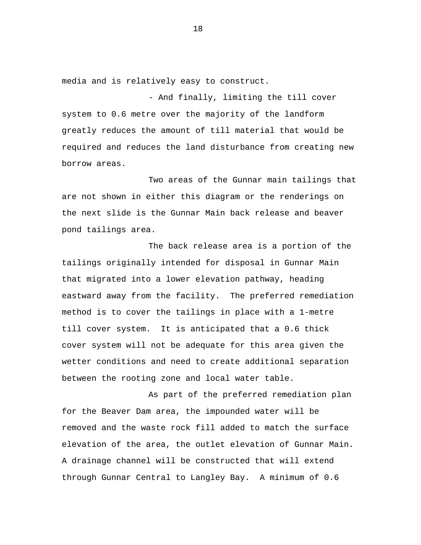media and is relatively easy to construct.

- And finally, limiting the till cover system to 0.6 metre over the majority of the landform greatly reduces the amount of till material that would be required and reduces the land disturbance from creating new borrow areas.

Two areas of the Gunnar main tailings that are not shown in either this diagram or the renderings on the next slide is the Gunnar Main back release and beaver pond tailings area.

The back release area is a portion of the tailings originally intended for disposal in Gunnar Main that migrated into a lower elevation pathway, heading eastward away from the facility. The preferred remediation method is to cover the tailings in place with a 1-metre till cover system. It is anticipated that a 0.6 thick cover system will not be adequate for this area given the wetter conditions and need to create additional separation between the rooting zone and local water table.

As part of the preferred remediation plan for the Beaver Dam area, the impounded water will be removed and the waste rock fill added to match the surface elevation of the area, the outlet elevation of Gunnar Main. A drainage channel will be constructed that will extend through Gunnar Central to Langley Bay. A minimum of 0.6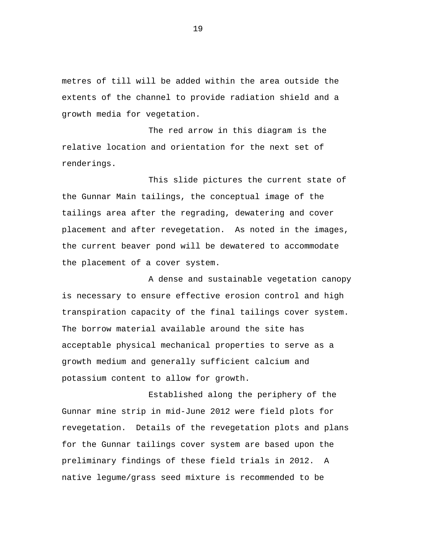metres of till will be added within the area outside the extents of the channel to provide radiation shield and a growth media for vegetation.

The red arrow in this diagram is the relative location and orientation for the next set of renderings.

This slide pictures the current state of the Gunnar Main tailings, the conceptual image of the tailings area after the regrading, dewatering and cover placement and after revegetation. As noted in the images, the current beaver pond will be dewatered to accommodate the placement of a cover system.

A dense and sustainable vegetation canopy is necessary to ensure effective erosion control and high transpiration capacity of the final tailings cover system. The borrow material available around the site has acceptable physical mechanical properties to serve as a growth medium and generally sufficient calcium and potassium content to allow for growth.

Established along the periphery of the Gunnar mine strip in mid-June 2012 were field plots for revegetation. Details of the revegetation plots and plans for the Gunnar tailings cover system are based upon the preliminary findings of these field trials in 2012. A native legume/grass seed mixture is recommended to be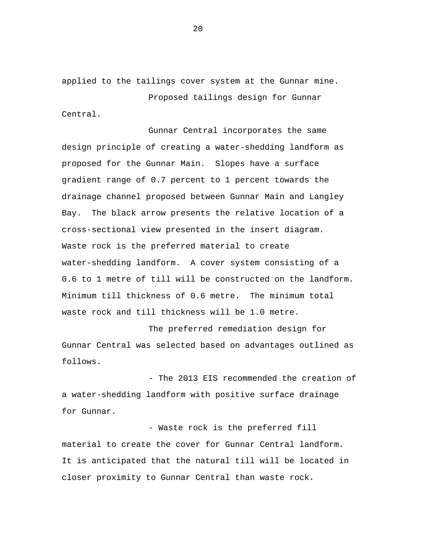applied to the tailings cover system at the Gunnar mine. Proposed tailings design for Gunnar

Central.

Gunnar Central incorporates the same design principle of creating a water-shedding landform as proposed for the Gunnar Main. Slopes have a surface gradient range of 0.7 percent to 1 percent towards the drainage channel proposed between Gunnar Main and Langley Bay. The black arrow presents the relative location of a cross-sectional view presented in the insert diagram. Waste rock is the preferred material to create water-shedding landform. A cover system consisting of a 0.6 to 1 metre of till will be constructed on the landform. Minimum till thickness of 0.6 metre. The minimum total waste rock and till thickness will be 1.0 metre.

The preferred remediation design for Gunnar Central was selected based on advantages outlined as follows.

- The 2013 EIS recommended the creation of a water-shedding landform with positive surface drainage for Gunnar.

- Waste rock is the preferred fill material to create the cover for Gunnar Central landform. It is anticipated that the natural till will be located in closer proximity to Gunnar Central than waste rock.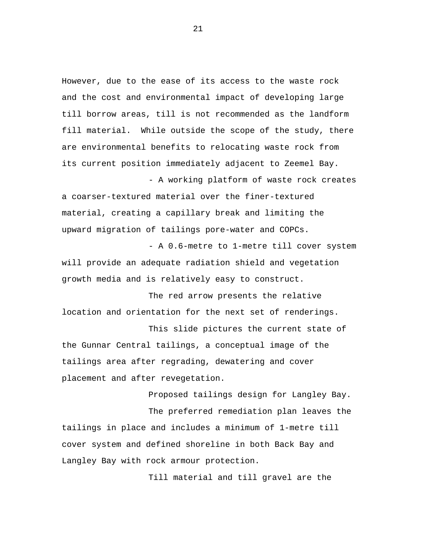However, due to the ease of its access to the waste rock and the cost and environmental impact of developing large till borrow areas, till is not recommended as the landform fill material. While outside the scope of the study, there are environmental benefits to relocating waste rock from its current position immediately adjacent to Zeemel Bay.

a coarser-textured material over the finer-textured material, creating a capillary break and limiting the upward migration of tailings pore-water and COPCs.

- A working platform of waste rock creates

- A 0.6-metre to 1-metre till cover system will provide an adequate radiation shield and vegetation growth media and is relatively easy to construct.

The red arrow presents the relative location and orientation for the next set of renderings.

This slide pictures the current state of the Gunnar Central tailings, a conceptual image of the tailings area after regrading, dewatering and cover placement and after revegetation.

Proposed tailings design for Langley Bay. The preferred remediation plan leaves the tailings in place and includes a minimum of 1-metre till cover system and defined shoreline in both Back Bay and Langley Bay with rock armour protection.

Till material and till gravel are the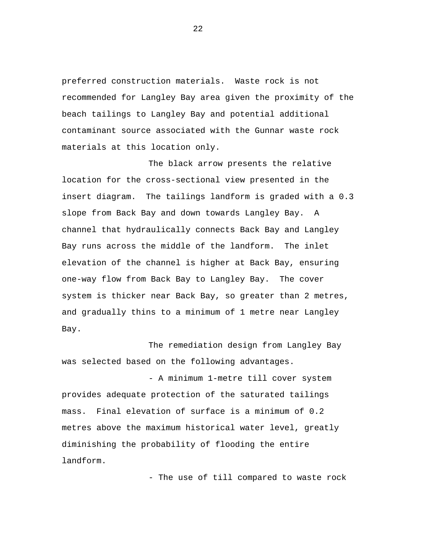preferred construction materials. Waste rock is not recommended for Langley Bay area given the proximity of the beach tailings to Langley Bay and potential additional contaminant source associated with the Gunnar waste rock materials at this location only.

The black arrow presents the relative location for the cross-sectional view presented in the insert diagram. The tailings landform is graded with a 0.3 slope from Back Bay and down towards Langley Bay. A channel that hydraulically connects Back Bay and Langley Bay runs across the middle of the landform. The inlet elevation of the channel is higher at Back Bay, ensuring one-way flow from Back Bay to Langley Bay. The cover system is thicker near Back Bay, so greater than 2 metres, and gradually thins to a minimum of 1 metre near Langley Bay.

The remediation design from Langley Bay was selected based on the following advantages.

- A minimum 1-metre till cover system provides adequate protection of the saturated tailings mass. Final elevation of surface is a minimum of 0.2 metres above the maximum historical water level, greatly diminishing the probability of flooding the entire landform.

- The use of till compared to waste rock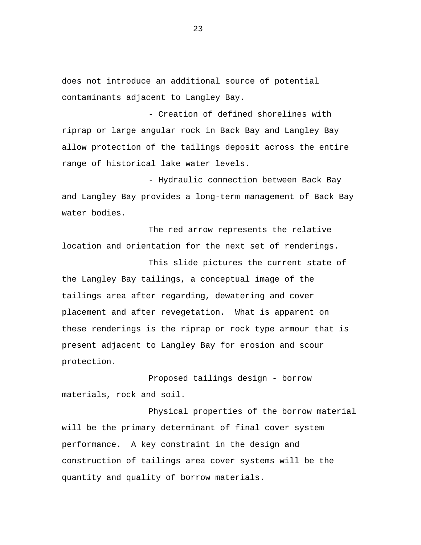does not introduce an additional source of potential contaminants adjacent to Langley Bay.

- Creation of defined shorelines with riprap or large angular rock in Back Bay and Langley Bay allow protection of the tailings deposit across the entire range of historical lake water levels.

- Hydraulic connection between Back Bay and Langley Bay provides a long-term management of Back Bay water bodies.

The red arrow represents the relative location and orientation for the next set of renderings.

This slide pictures the current state of the Langley Bay tailings, a conceptual image of the tailings area after regarding, dewatering and cover placement and after revegetation. What is apparent on these renderings is the riprap or rock type armour that is present adjacent to Langley Bay for erosion and scour protection.

Proposed tailings design - borrow materials, rock and soil.

Physical properties of the borrow material will be the primary determinant of final cover system performance. A key constraint in the design and construction of tailings area cover systems will be the quantity and quality of borrow materials.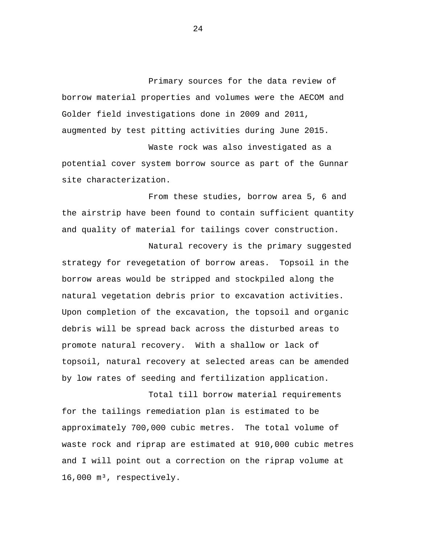Primary sources for the data review of borrow material properties and volumes were the AECOM and Golder field investigations done in 2009 and 2011, augmented by test pitting activities during June 2015.

Waste rock was also investigated as a potential cover system borrow source as part of the Gunnar site characterization.

From these studies, borrow area 5, 6 and the airstrip have been found to contain sufficient quantity and quality of material for tailings cover construction.

Natural recovery is the primary suggested strategy for revegetation of borrow areas. Topsoil in the borrow areas would be stripped and stockpiled along the natural vegetation debris prior to excavation activities. Upon completion of the excavation, the topsoil and organic debris will be spread back across the disturbed areas to promote natural recovery. With a shallow or lack of topsoil, natural recovery at selected areas can be amended by low rates of seeding and fertilization application.

Total till borrow material requirements for the tailings remediation plan is estimated to be approximately 700,000 cubic metres. The total volume of waste rock and riprap are estimated at 910,000 cubic metres and I will point out a correction on the riprap volume at 16,000 m<sup>3</sup>, respectively.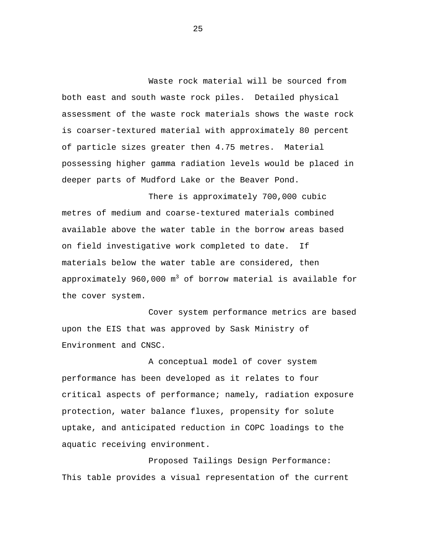Waste rock material will be sourced from both east and south waste rock piles. Detailed physical assessment of the waste rock materials shows the waste rock is coarser-textured material with approximately 80 percent of particle sizes greater then 4.75 metres. Material possessing higher gamma radiation levels would be placed in deeper parts of Mudford Lake or the Beaver Pond.

There is approximately 700,000 cubic metres of medium and coarse-textured materials combined available above the water table in the borrow areas based on field investigative work completed to date. If materials below the water table are considered, then approximately 960,000  $\mathfrak{m}^{3}$  of borrow material is available for the cover system.

Cover system performance metrics are based upon the EIS that was approved by Sask Ministry of Environment and CNSC.

A conceptual model of cover system performance has been developed as it relates to four critical aspects of performance; namely, radiation exposure protection, water balance fluxes, propensity for solute uptake, and anticipated reduction in COPC loadings to the aquatic receiving environment.

Proposed Tailings Design Performance: This table provides a visual representation of the current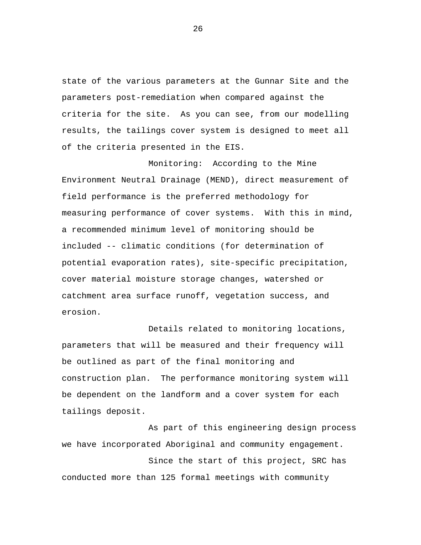state of the various parameters at the Gunnar Site and the parameters post-remediation when compared against the criteria for the site. As you can see, from our modelling results, the tailings cover system is designed to meet all of the criteria presented in the EIS.

Monitoring: According to the Mine Environment Neutral Drainage (MEND), direct measurement of field performance is the preferred methodology for measuring performance of cover systems. With this in mind, a recommended minimum level of monitoring should be included -- climatic conditions (for determination of potential evaporation rates), site-specific precipitation, cover material moisture storage changes, watershed or catchment area surface runoff, vegetation success, and erosion.

Details related to monitoring locations, parameters that will be measured and their frequency will be outlined as part of the final monitoring and construction plan. The performance monitoring system will be dependent on the landform and a cover system for each tailings deposit.

As part of this engineering design process we have incorporated Aboriginal and community engagement.

Since the start of this project, SRC has conducted more than 125 formal meetings with community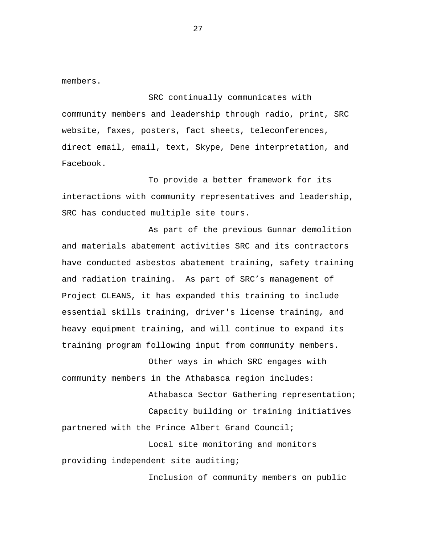members.

SRC continually communicates with community members and leadership through radio, print, SRC website, faxes, posters, fact sheets, teleconferences, direct email, email, text, Skype, Dene interpretation, and Facebook.

To provide a better framework for its interactions with community representatives and leadership, SRC has conducted multiple site tours.

As part of the previous Gunnar demolition and materials abatement activities SRC and its contractors have conducted asbestos abatement training, safety training and radiation training. As part of SRC's management of Project CLEANS, it has expanded this training to include essential skills training, driver's license training, and heavy equipment training, and will continue to expand its training program following input from community members.

Other ways in which SRC engages with community members in the Athabasca region includes:

Athabasca Sector Gathering representation; Capacity building or training initiatives partnered with the Prince Albert Grand Council; Local site monitoring and monitors

providing independent site auditing;

Inclusion of community members on public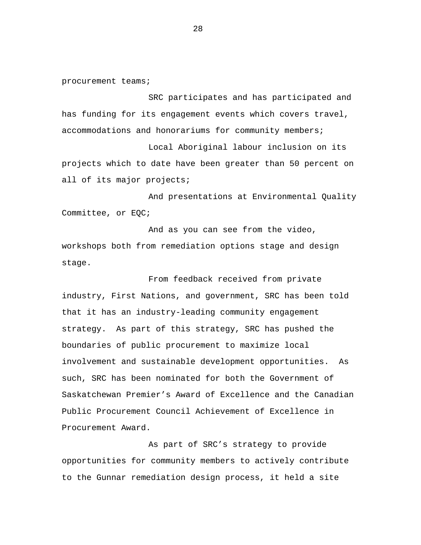procurement teams;

SRC participates and has participated and has funding for its engagement events which covers travel, accommodations and honorariums for community members;

Local Aboriginal labour inclusion on its projects which to date have been greater than 50 percent on all of its major projects;

And presentations at Environmental Quality Committee, or EQC;

And as you can see from the video, workshops both from remediation options stage and design stage.

From feedback received from private industry, First Nations, and government, SRC has been told that it has an industry-leading community engagement strategy. As part of this strategy, SRC has pushed the boundaries of public procurement to maximize local involvement and sustainable development opportunities. As such, SRC has been nominated for both the Government of Saskatchewan Premier's Award of Excellence and the Canadian Public Procurement Council Achievement of Excellence in Procurement Award.

As part of SRC's strategy to provide opportunities for community members to actively contribute to the Gunnar remediation design process, it held a site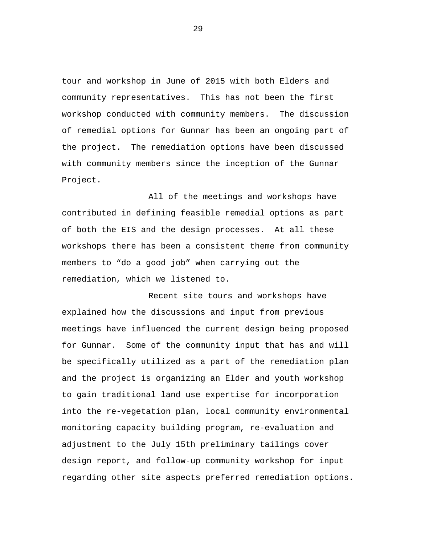tour and workshop in June of 2015 with both Elders and community representatives. This has not been the first workshop conducted with community members. The discussion of remedial options for Gunnar has been an ongoing part of the project. The remediation options have been discussed with community members since the inception of the Gunnar Project.

All of the meetings and workshops have contributed in defining feasible remedial options as part of both the EIS and the design processes. At all these workshops there has been a consistent theme from community members to "do a good job" when carrying out the remediation, which we listened to.

Recent site tours and workshops have explained how the discussions and input from previous meetings have influenced the current design being proposed for Gunnar. Some of the community input that has and will be specifically utilized as a part of the remediation plan and the project is organizing an Elder and youth workshop to gain traditional land use expertise for incorporation into the re-vegetation plan, local community environmental monitoring capacity building program, re-evaluation and adjustment to the July 15th preliminary tailings cover design report, and follow-up community workshop for input regarding other site aspects preferred remediation options.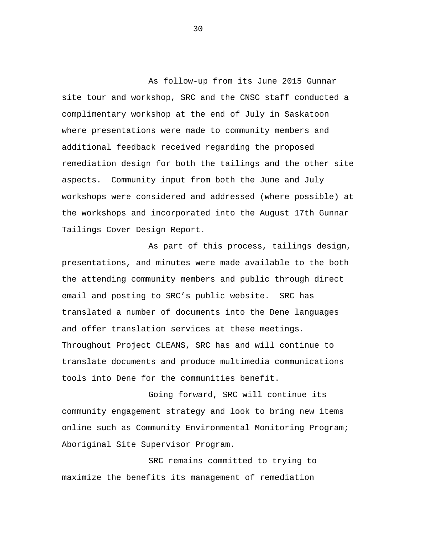As follow-up from its June 2015 Gunnar site tour and workshop, SRC and the CNSC staff conducted a complimentary workshop at the end of July in Saskatoon where presentations were made to community members and additional feedback received regarding the proposed remediation design for both the tailings and the other site aspects. Community input from both the June and July workshops were considered and addressed (where possible) at the workshops and incorporated into the August 17th Gunnar Tailings Cover Design Report.

As part of this process, tailings design, presentations, and minutes were made available to the both the attending community members and public through direct email and posting to SRC's public website. SRC has translated a number of documents into the Dene languages and offer translation services at these meetings. Throughout Project CLEANS, SRC has and will continue to translate documents and produce multimedia communications tools into Dene for the communities benefit.

Going forward, SRC will continue its community engagement strategy and look to bring new items online such as Community Environmental Monitoring Program; Aboriginal Site Supervisor Program.

SRC remains committed to trying to maximize the benefits its management of remediation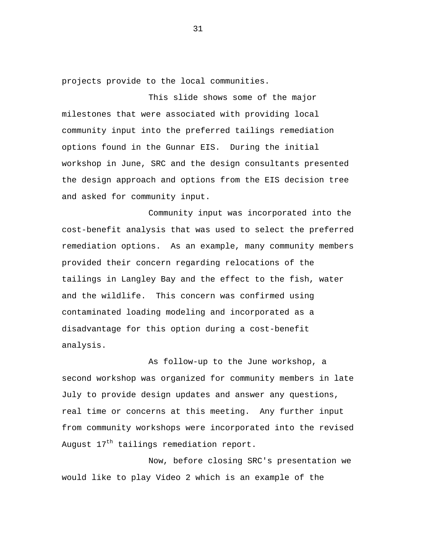projects provide to the local communities.

This slide shows some of the major milestones that were associated with providing local community input into the preferred tailings remediation options found in the Gunnar EIS. During the initial workshop in June, SRC and the design consultants presented the design approach and options from the EIS decision tree and asked for community input.

Community input was incorporated into the cost-benefit analysis that was used to select the preferred remediation options. As an example, many community members provided their concern regarding relocations of the tailings in Langley Bay and the effect to the fish, water and the wildlife. This concern was confirmed using contaminated loading modeling and incorporated as a disadvantage for this option during a cost-benefit analysis.

As follow-up to the June workshop, a second workshop was organized for community members in late July to provide design updates and answer any questions, real time or concerns at this meeting. Any further input from community workshops were incorporated into the revised August  $17^{th}$  tailings remediation report.

Now, before closing SRC's presentation we would like to play Video 2 which is an example of the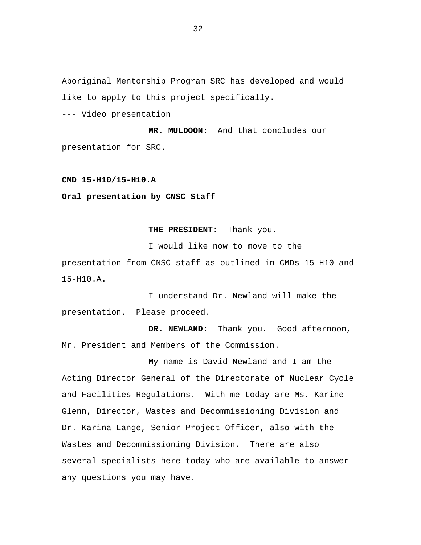<span id="page-33-0"></span>Aboriginal Mentorship Program SRC has developed and would like to apply to this project specifically.

--- Video presentation

 **MR. MULDOON**: And that concludes our presentation for SRC.

**CMD 15-H10/15-H10.A** 

**Oral presentation by CNSC Staff** 

**THE PRESIDENT:** Thank you.

I would like now to move to the

presentation from CNSC staff as outlined in CMDs 15-H10 and 15-H10.A.

I understand Dr. Newland will make the presentation. Please proceed.

DR. NEWLAND: Thank you. Good afternoon, Mr. President and Members of the Commission.

My name is David Newland and I am the Acting Director General of the Directorate of Nuclear Cycle and Facilities Regulations. With me today are Ms. Karine Glenn, Director, Wastes and Decommissioning Division and Dr. Karina Lange, Senior Project Officer, also with the Wastes and Decommissioning Division. There are also several specialists here today who are available to answer any questions you may have.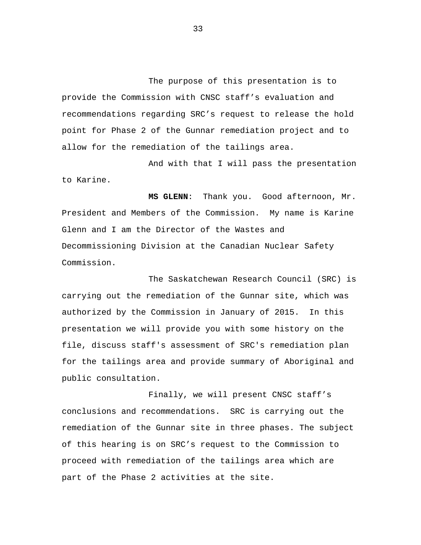The purpose of this presentation is to provide the Commission with CNSC staff's evaluation and recommendations regarding SRC's request to release the hold point for Phase 2 of the Gunnar remediation project and to allow for the remediation of the tailings area.

And with that I will pass the presentation to Karine.

**MS GLENN**: Thank you. Good afternoon, Mr. President and Members of the Commission. My name is Karine Glenn and I am the Director of the Wastes and Decommissioning Division at the Canadian Nuclear Safety Commission.

The Saskatchewan Research Council (SRC) is carrying out the remediation of the Gunnar site, which was authorized by the Commission in January of 2015. In this presentation we will provide you with some history on the file, discuss staff's assessment of SRC's remediation plan for the tailings area and provide summary of Aboriginal and public consultation.

Finally, we will present CNSC staff's conclusions and recommendations. SRC is carrying out the remediation of the Gunnar site in three phases. The subject of this hearing is on SRC's request to the Commission to proceed with remediation of the tailings area which are part of the Phase 2 activities at the site.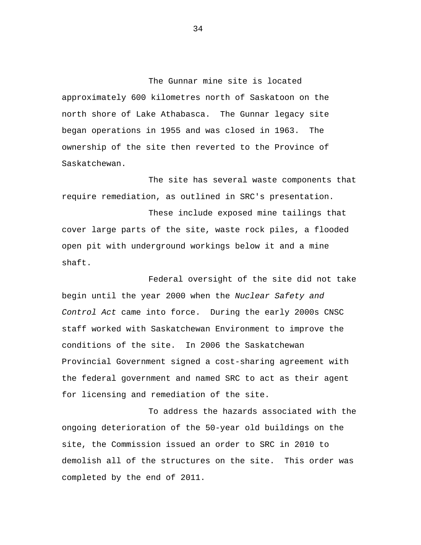The Gunnar mine site is located approximately 600 kilometres north of Saskatoon on the north shore of Lake Athabasca. The Gunnar legacy site began operations in 1955 and was closed in 1963. The ownership of the site then reverted to the Province of Saskatchewan.

The site has several waste components that require remediation, as outlined in SRC's presentation.

These include exposed mine tailings that cover large parts of the site, waste rock piles, a flooded open pit with underground workings below it and a mine shaft.

Federal oversight of the site did not take begin until the year 2000 when the *Nuclear Safety and Control Act* came into force. During the early 2000s CNSC staff worked with Saskatchewan Environment to improve the conditions of the site. In 2006 the Saskatchewan Provincial Government signed a cost-sharing agreement with the federal government and named SRC to act as their agent for licensing and remediation of the site.

To address the hazards associated with the ongoing deterioration of the 50-year old buildings on the site, the Commission issued an order to SRC in 2010 to demolish all of the structures on the site. This order was completed by the end of 2011.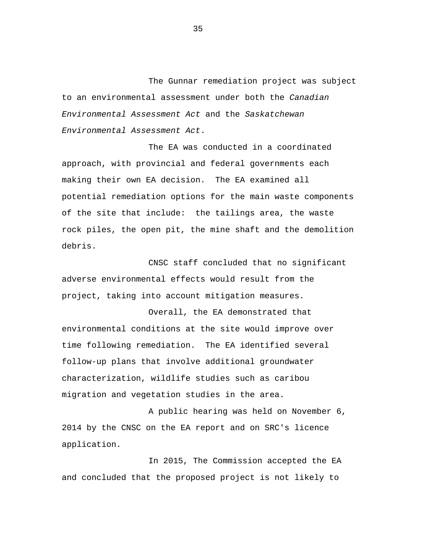The Gunnar remediation project was subject to an environmental assessment under both the *Canadian Environmental Assessment Act* and the *Saskatchewan Environmental Assessment Act*.

The EA was conducted in a coordinated approach, with provincial and federal governments each making their own EA decision. The EA examined all potential remediation options for the main waste components of the site that include: the tailings area, the waste rock piles, the open pit, the mine shaft and the demolition debris.

CNSC staff concluded that no significant adverse environmental effects would result from the project, taking into account mitigation measures.

Overall, the EA demonstrated that environmental conditions at the site would improve over time following remediation. The EA identified several follow-up plans that involve additional groundwater characterization, wildlife studies such as caribou migration and vegetation studies in the area.

A public hearing was held on November 6, 2014 by the CNSC on the EA report and on SRC's licence application.

In 2015, The Commission accepted the EA and concluded that the proposed project is not likely to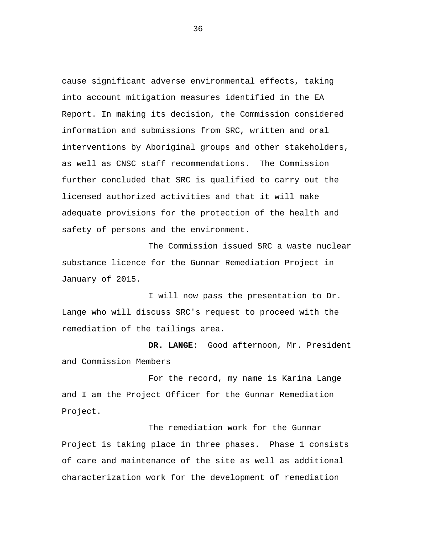cause significant adverse environmental effects, taking into account mitigation measures identified in the EA Report. In making its decision, the Commission considered information and submissions from SRC, written and oral interventions by Aboriginal groups and other stakeholders, as well as CNSC staff recommendations. The Commission further concluded that SRC is qualified to carry out the licensed authorized activities and that it will make adequate provisions for the protection of the health and safety of persons and the environment.

The Commission issued SRC a waste nuclear substance licence for the Gunnar Remediation Project in January of 2015.

I will now pass the presentation to Dr. Lange who will discuss SRC's request to proceed with the remediation of the tailings area.

 **DR. LANGE**: Good afternoon, Mr. President and Commission Members

For the record, my name is Karina Lange and I am the Project Officer for the Gunnar Remediation Project.

The remediation work for the Gunnar Project is taking place in three phases. Phase 1 consists of care and maintenance of the site as well as additional characterization work for the development of remediation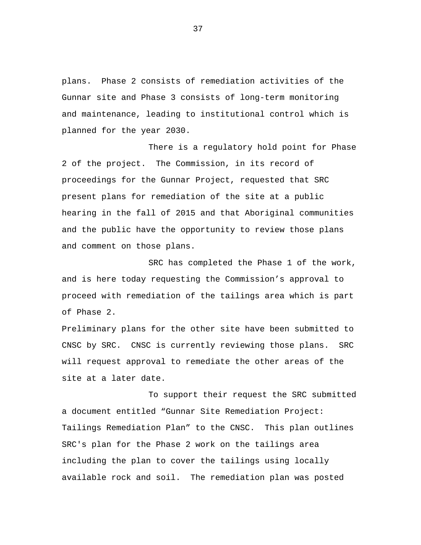plans. Phase 2 consists of remediation activities of the Gunnar site and Phase 3 consists of long-term monitoring and maintenance, leading to institutional control which is planned for the year 2030.

There is a regulatory hold point for Phase 2 of the project. The Commission, in its record of proceedings for the Gunnar Project, requested that SRC present plans for remediation of the site at a public hearing in the fall of 2015 and that Aboriginal communities and the public have the opportunity to review those plans and comment on those plans.

SRC has completed the Phase 1 of the work, and is here today requesting the Commission's approval to proceed with remediation of the tailings area which is part of Phase 2.

Preliminary plans for the other site have been submitted to CNSC by SRC. CNSC is currently reviewing those plans. SRC will request approval to remediate the other areas of the site at a later date.

To support their request the SRC submitted a document entitled "Gunnar Site Remediation Project: Tailings Remediation Plan" to the CNSC. This plan outlines SRC's plan for the Phase 2 work on the tailings area including the plan to cover the tailings using locally available rock and soil. The remediation plan was posted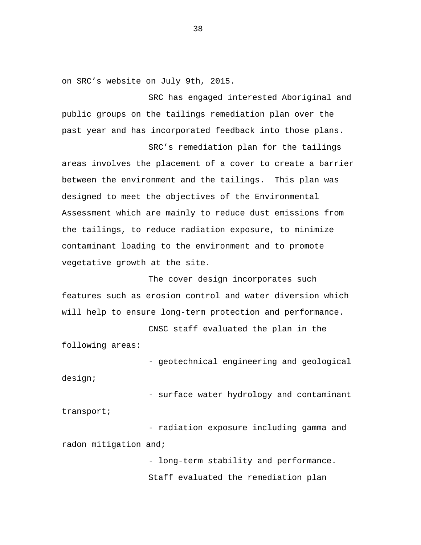on SRC's website on July 9th, 2015.

SRC has engaged interested Aboriginal and public groups on the tailings remediation plan over the past year and has incorporated feedback into those plans.

SRC's remediation plan for the tailings

areas involves the placement of a cover to create a barrier between the environment and the tailings. This plan was designed to meet the objectives of the Environmental Assessment which are mainly to reduce dust emissions from the tailings, to reduce radiation exposure, to minimize contaminant loading to the environment and to promote vegetative growth at the site.

The cover design incorporates such features such as erosion control and water diversion which will help to ensure long-term protection and performance.

CNSC staff evaluated the plan in the following areas:

- geotechnical engineering and geological design;

- surface water hydrology and contaminant

- radiation exposure including gamma and radon mitigation and;

transport;

- long-term stability and performance. Staff evaluated the remediation plan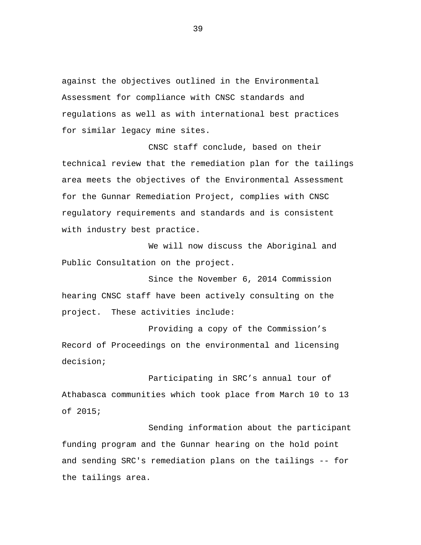against the objectives outlined in the Environmental Assessment for compliance with CNSC standards and regulations as well as with international best practices for similar legacy mine sites.

CNSC staff conclude, based on their technical review that the remediation plan for the tailings area meets the objectives of the Environmental Assessment for the Gunnar Remediation Project, complies with CNSC regulatory requirements and standards and is consistent with industry best practice.

We will now discuss the Aboriginal and Public Consultation on the project.

Since the November 6, 2014 Commission hearing CNSC staff have been actively consulting on the project. These activities include:

Providing a copy of the Commission's Record of Proceedings on the environmental and licensing decision;

Participating in SRC's annual tour of Athabasca communities which took place from March 10 to 13 of 2015;

Sending information about the participant funding program and the Gunnar hearing on the hold point and sending SRC's remediation plans on the tailings -- for the tailings area.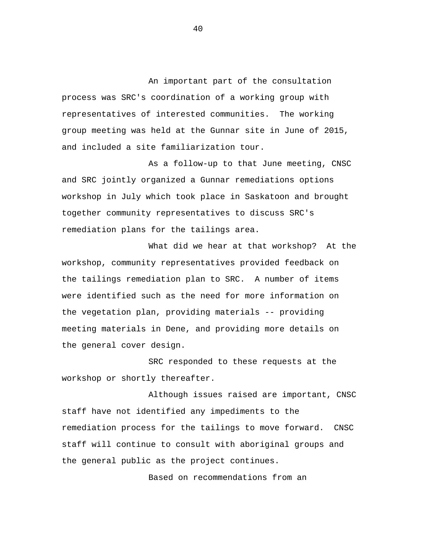An important part of the consultation process was SRC's coordination of a working group with representatives of interested communities. The working group meeting was held at the Gunnar site in June of 2015, and included a site familiarization tour.

As a follow-up to that June meeting, CNSC and SRC jointly organized a Gunnar remediations options workshop in July which took place in Saskatoon and brought together community representatives to discuss SRC's remediation plans for the tailings area.

What did we hear at that workshop? At the workshop, community representatives provided feedback on the tailings remediation plan to SRC. A number of items were identified such as the need for more information on the vegetation plan, providing materials -- providing meeting materials in Dene, and providing more details on the general cover design.

SRC responded to these requests at the workshop or shortly thereafter.

Although issues raised are important, CNSC staff have not identified any impediments to the remediation process for the tailings to move forward. CNSC staff will continue to consult with aboriginal groups and the general public as the project continues.

Based on recommendations from an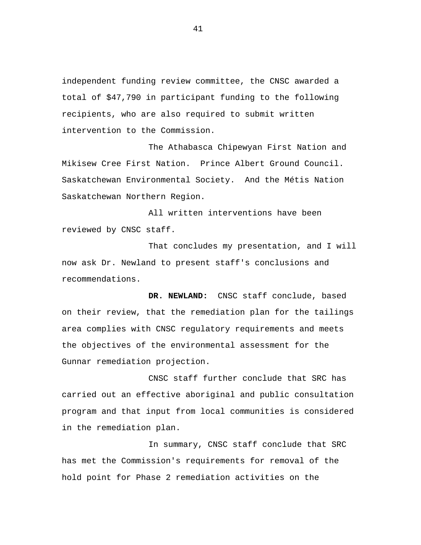independent funding review committee, the CNSC awarded a total of \$47,790 in participant funding to the following recipients, who are also required to submit written intervention to the Commission.

The Athabasca Chipewyan First Nation and Mikisew Cree First Nation. Prince Albert Ground Council. Saskatchewan Environmental Society. And the Métis Nation Saskatchewan Northern Region.

All written interventions have been reviewed by CNSC staff.

That concludes my presentation, and I will now ask Dr. Newland to present staff's conclusions and recommendations.

**DR. NEWLAND:** CNSC staff conclude, based on their review, that the remediation plan for the tailings area complies with CNSC regulatory requirements and meets the objectives of the environmental assessment for the Gunnar remediation projection.

CNSC staff further conclude that SRC has carried out an effective aboriginal and public consultation program and that input from local communities is considered in the remediation plan.

In summary, CNSC staff conclude that SRC has met the Commission's requirements for removal of the hold point for Phase 2 remediation activities on the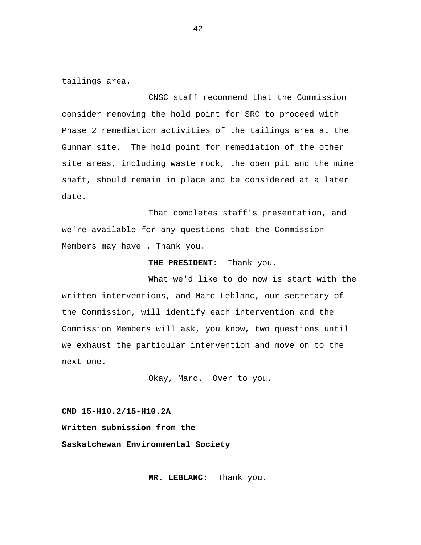tailings area.

CNSC staff recommend that the Commission consider removing the hold point for SRC to proceed with Phase 2 remediation activities of the tailings area at the Gunnar site. The hold point for remediation of the other site areas, including waste rock, the open pit and the mine shaft, should remain in place and be considered at a later date.

That completes staff's presentation, and we're available for any questions that the Commission Members may have . Thank you.

**THE PRESIDENT:** Thank you.

What we'd like to do now is start with the written interventions, and Marc Leblanc, our secretary of the Commission, will identify each intervention and the Commission Members will ask, you know, two questions until we exhaust the particular intervention and move on to the next one.

Okay, Marc. Over to you.

**CMD 15-H10.2/15-H10.2A Written submission from the Saskatchewan Environmental Society** 

**MR. LEBLANC:** Thank you.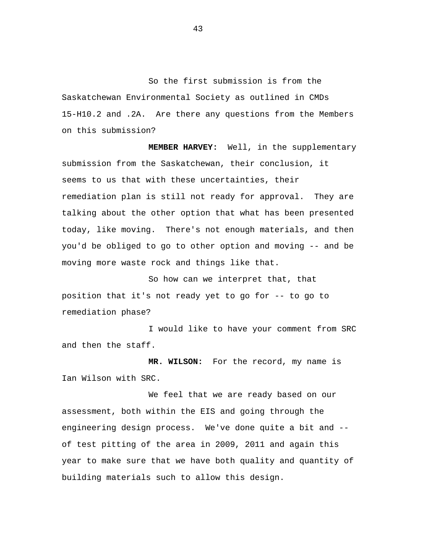So the first submission is from the Saskatchewan Environmental Society as outlined in CMDs 15-H10.2 and .2A. Are there any questions from the Members on this submission?

**MEMBER HARVEY:** Well, in the supplementary submission from the Saskatchewan, their conclusion, it seems to us that with these uncertainties, their remediation plan is still not ready for approval. They are talking about the other option that what has been presented today, like moving. There's not enough materials, and then you'd be obliged to go to other option and moving -- and be moving more waste rock and things like that.

So how can we interpret that, that position that it's not ready yet to go for -- to go to remediation phase?

I would like to have your comment from SRC and then the staff.

**MR. WILSON:** For the record, my name is Ian Wilson with SRC.

We feel that we are ready based on our assessment, both within the EIS and going through the engineering design process. We've done quite a bit and - of test pitting of the area in 2009, 2011 and again this year to make sure that we have both quality and quantity of building materials such to allow this design.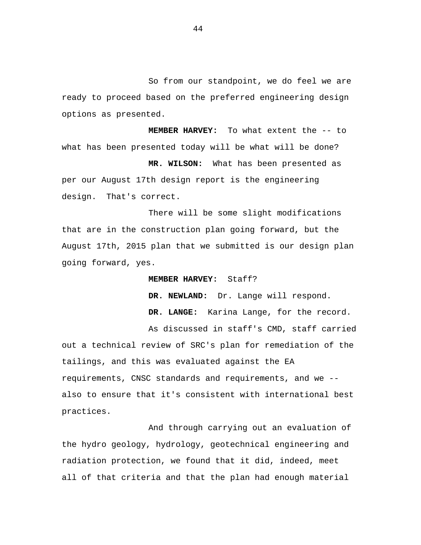So from our standpoint, we do feel we are ready to proceed based on the preferred engineering design options as presented.

**MEMBER HARVEY:** To what extent the -- to what has been presented today will be what will be done? **MR. WILSON:** What has been presented as

per our August 17th design report is the engineering design. That's correct.

There will be some slight modifications that are in the construction plan going forward, but the August 17th, 2015 plan that we submitted is our design plan going forward, yes.

## **MEMBER HARVEY:** Staff?

DR. NEWLAND: Dr. Lange will respond. **DR. LANGE:** Karina Lange, for the record.

As discussed in staff's CMD, staff carried out a technical review of SRC's plan for remediation of the tailings, and this was evaluated against the EA requirements, CNSC standards and requirements, and we - also to ensure that it's consistent with international best practices.

And through carrying out an evaluation of the hydro geology, hydrology, geotechnical engineering and radiation protection, we found that it did, indeed, meet all of that criteria and that the plan had enough material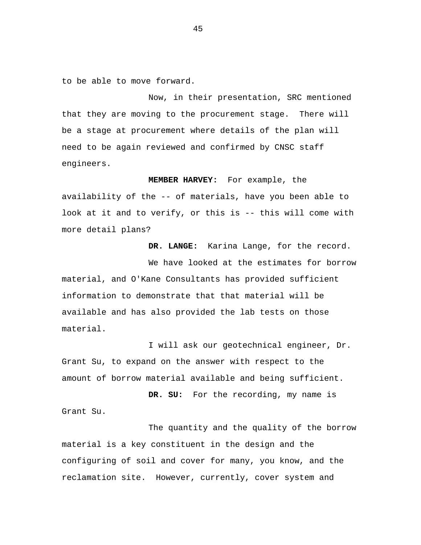to be able to move forward.

Now, in their presentation, SRC mentioned that they are moving to the procurement stage. There will be a stage at procurement where details of the plan will need to be again reviewed and confirmed by CNSC staff engineers.

**MEMBER HARVEY:** For example, the

availability of the -- of materials, have you been able to look at it and to verify, or this is -- this will come with more detail plans?

**DR. LANGE:** Karina Lange, for the record.

We have looked at the estimates for borrow material, and O'Kane Consultants has provided sufficient information to demonstrate that that material will be available and has also provided the lab tests on those material.

I will ask our geotechnical engineer, Dr. Grant Su, to expand on the answer with respect to the amount of borrow material available and being sufficient.

**DR. SU:** For the recording, my name is Grant Su.

The quantity and the quality of the borrow material is a key constituent in the design and the configuring of soil and cover for many, you know, and the reclamation site. However, currently, cover system and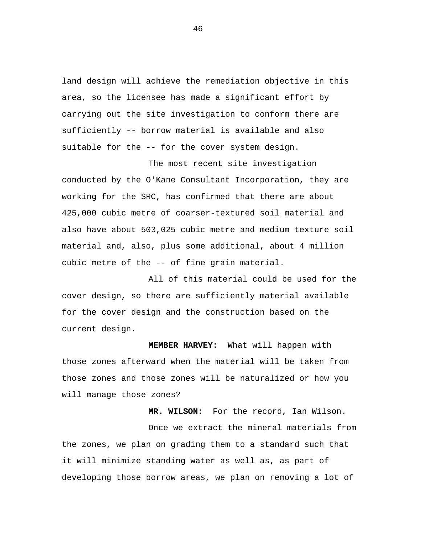land design will achieve the remediation objective in this area, so the licensee has made a significant effort by carrying out the site investigation to conform there are sufficiently -- borrow material is available and also suitable for the -- for the cover system design.

The most recent site investigation conducted by the O'Kane Consultant Incorporation, they are working for the SRC, has confirmed that there are about 425,000 cubic metre of coarser-textured soil material and also have about 503,025 cubic metre and medium texture soil material and, also, plus some additional, about 4 million cubic metre of the -- of fine grain material.

All of this material could be used for the cover design, so there are sufficiently material available for the cover design and the construction based on the current design.

**MEMBER HARVEY:** What will happen with those zones afterward when the material will be taken from those zones and those zones will be naturalized or how you will manage those zones?

**MR. WILSON:** For the record, Ian Wilson. Once we extract the mineral materials from the zones, we plan on grading them to a standard such that it will minimize standing water as well as, as part of developing those borrow areas, we plan on removing a lot of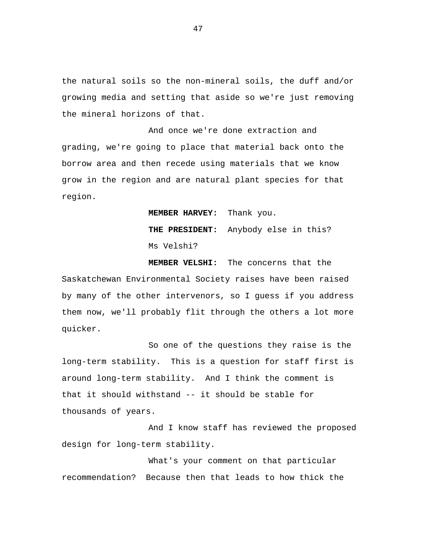the natural soils so the non-mineral soils, the duff and/or growing media and setting that aside so we're just removing the mineral horizons of that.

And once we're done extraction and grading, we're going to place that material back onto the borrow area and then recede using materials that we know grow in the region and are natural plant species for that region.

> **MEMBER HARVEY:** Thank you. **THE PRESIDENT:** Anybody else in this? Ms Velshi?

**MEMBER VELSHI:** The concerns that the Saskatchewan Environmental Society raises have been raised by many of the other intervenors, so I guess if you address them now, we'll probably flit through the others a lot more quicker.

So one of the questions they raise is the long-term stability. This is a question for staff first is around long-term stability. And I think the comment is that it should withstand -- it should be stable for thousands of years.

And I know staff has reviewed the proposed design for long-term stability.

What's your comment on that particular recommendation? Because then that leads to how thick the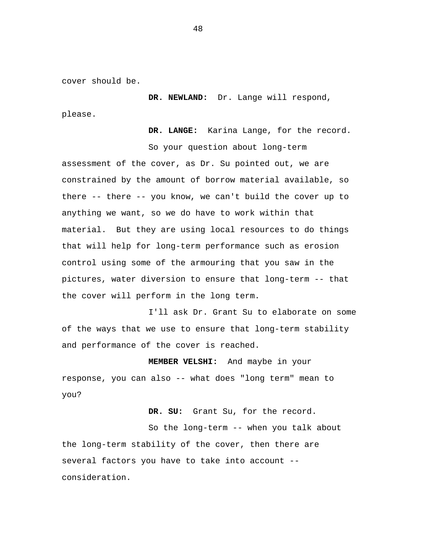cover should be.

**DR. NEWLAND:** Dr. Lange will respond, please.

**DR. LANGE:** Karina Lange, for the record.

So your question about long-term assessment of the cover, as Dr. Su pointed out, we are constrained by the amount of borrow material available, so there -- there -- you know, we can't build the cover up to anything we want, so we do have to work within that material. But they are using local resources to do things that will help for long-term performance such as erosion control using some of the armouring that you saw in the pictures, water diversion to ensure that long-term -- that the cover will perform in the long term.

I'll ask Dr. Grant Su to elaborate on some of the ways that we use to ensure that long-term stability and performance of the cover is reached.

**MEMBER VELSHI:** And maybe in your response, you can also -- what does "long term" mean to you?

**DR. SU:** Grant Su, for the record.

So the long-term -- when you talk about the long-term stability of the cover, then there are several factors you have to take into account - consideration.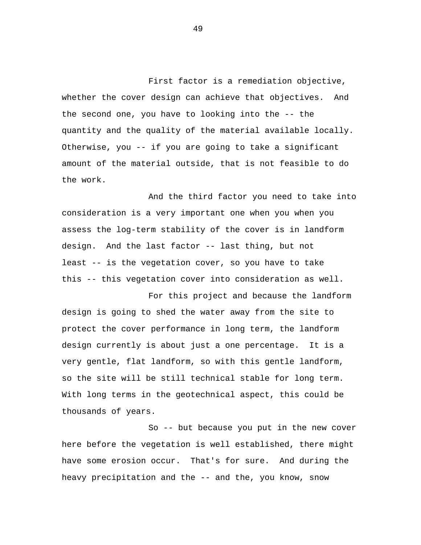First factor is a remediation objective, whether the cover design can achieve that objectives. And the second one, you have to looking into the -- the quantity and the quality of the material available locally. Otherwise, you -- if you are going to take a significant amount of the material outside, that is not feasible to do the work.

And the third factor you need to take into consideration is a very important one when you when you assess the log-term stability of the cover is in landform design. And the last factor -- last thing, but not least -- is the vegetation cover, so you have to take this -- this vegetation cover into consideration as well.

For this project and because the landform design is going to shed the water away from the site to protect the cover performance in long term, the landform design currently is about just a one percentage. It is a very gentle, flat landform, so with this gentle landform, so the site will be still technical stable for long term. With long terms in the geotechnical aspect, this could be thousands of years.

So -- but because you put in the new cover here before the vegetation is well established, there might have some erosion occur. That's for sure. And during the heavy precipitation and the -- and the, you know, snow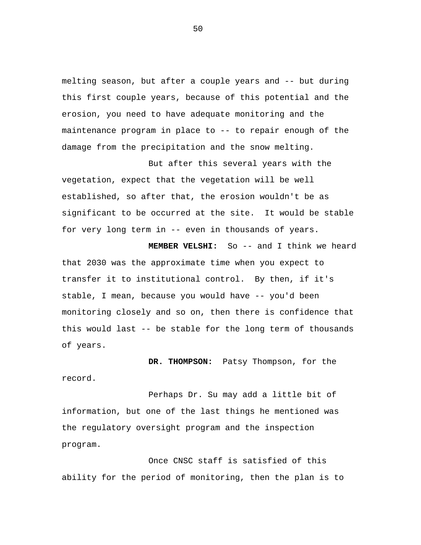melting season, but after a couple years and -- but during this first couple years, because of this potential and the erosion, you need to have adequate monitoring and the maintenance program in place to -- to repair enough of the damage from the precipitation and the snow melting.

But after this several years with the vegetation, expect that the vegetation will be well established, so after that, the erosion wouldn't be as significant to be occurred at the site. It would be stable for very long term in -- even in thousands of years.

**MEMBER VELSHI:** So -- and I think we heard that 2030 was the approximate time when you expect to transfer it to institutional control. By then, if it's stable, I mean, because you would have -- you'd been monitoring closely and so on, then there is confidence that this would last -- be stable for the long term of thousands of years.

**DR. THOMPSON:** Patsy Thompson, for the record.

Perhaps Dr. Su may add a little bit of information, but one of the last things he mentioned was the regulatory oversight program and the inspection program.

Once CNSC staff is satisfied of this ability for the period of monitoring, then the plan is to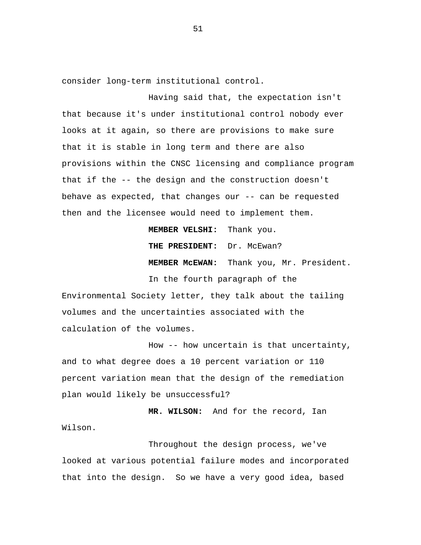consider long-term institutional control.

Having said that, the expectation isn't that because it's under institutional control nobody ever looks at it again, so there are provisions to make sure that it is stable in long term and there are also provisions within the CNSC licensing and compliance program that if the -- the design and the construction doesn't behave as expected, that changes our -- can be requested then and the licensee would need to implement them.

**MEMBER VELSHI:** Thank you.

**THE PRESIDENT:** Dr. McEwan?

**MEMBER McEWAN:** Thank you, Mr. President.

In the fourth paragraph of the Environmental Society letter, they talk about the tailing volumes and the uncertainties associated with the calculation of the volumes.

How -- how uncertain is that uncertainty, and to what degree does a 10 percent variation or 110 percent variation mean that the design of the remediation plan would likely be unsuccessful?

**MR. WILSON:** And for the record, Ian Wilson.

Throughout the design process, we've looked at various potential failure modes and incorporated that into the design. So we have a very good idea, based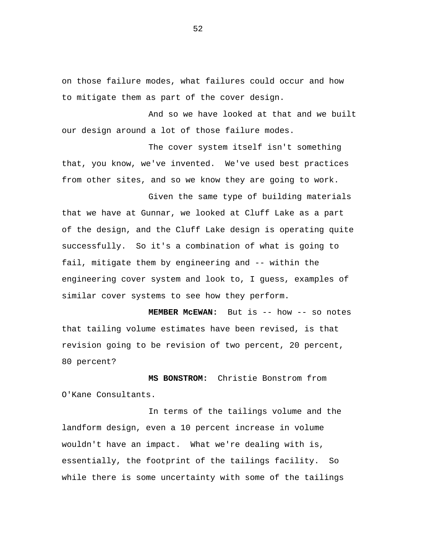on those failure modes, what failures could occur and how to mitigate them as part of the cover design.

And so we have looked at that and we built our design around a lot of those failure modes.

The cover system itself isn't something that, you know, we've invented. We've used best practices from other sites, and so we know they are going to work.

Given the same type of building materials that we have at Gunnar, we looked at Cluff Lake as a part of the design, and the Cluff Lake design is operating quite successfully. So it's a combination of what is going to fail, mitigate them by engineering and -- within the engineering cover system and look to, I guess, examples of similar cover systems to see how they perform.

**MEMBER McEWAN:** But is -- how -- so notes that tailing volume estimates have been revised, is that revision going to be revision of two percent, 20 percent, 80 percent?

**MS BONSTROM:** Christie Bonstrom from O'Kane Consultants.

In terms of the tailings volume and the landform design, even a 10 percent increase in volume wouldn't have an impact. What we're dealing with is, essentially, the footprint of the tailings facility. So while there is some uncertainty with some of the tailings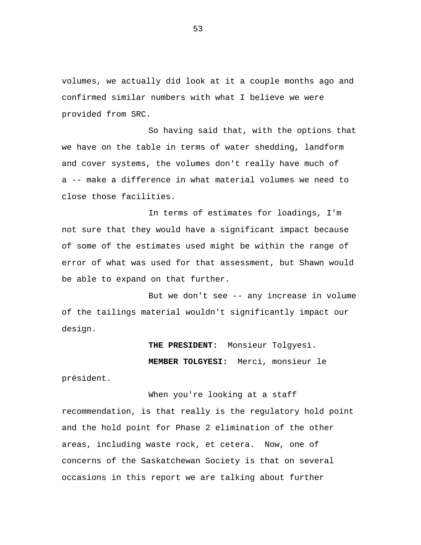volumes, we actually did look at it a couple months ago and confirmed similar numbers with what I believe we were provided from SRC.

So having said that, with the options that we have on the table in terms of water shedding, landform and cover systems, the volumes don't really have much of a -- make a difference in what material volumes we need to close those facilities.

In terms of estimates for loadings, I'm not sure that they would have a significant impact because of some of the estimates used might be within the range of error of what was used for that assessment, but Shawn would be able to expand on that further.

But we don't see -- any increase in volume of the tailings material wouldn't significantly impact our design.

> **THE PRESIDENT:** Monsieur Tolgyesi. **MEMBER TOLGYESI:** Merci, monsieur le

président.

When you're looking at a staff recommendation, is that really is the regulatory hold point and the hold point for Phase 2 elimination of the other areas, including waste rock, et cetera. Now, one of concerns of the Saskatchewan Society is that on several occasions in this report we are talking about further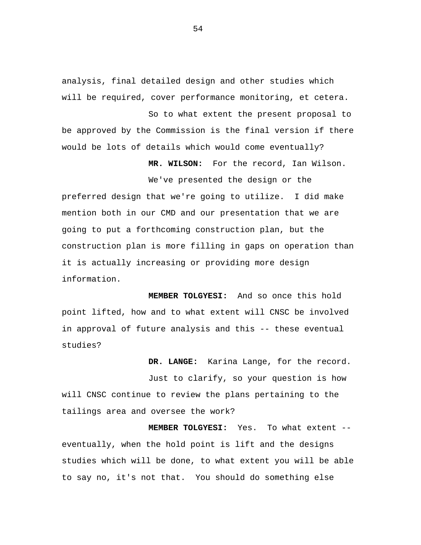analysis, final detailed design and other studies which will be required, cover performance monitoring, et cetera.

So to what extent the present proposal to be approved by the Commission is the final version if there would be lots of details which would come eventually?

**MR. WILSON:** For the record, Ian Wilson.

We've presented the design or the preferred design that we're going to utilize. I did make mention both in our CMD and our presentation that we are going to put a forthcoming construction plan, but the construction plan is more filling in gaps on operation than it is actually increasing or providing more design information.

**MEMBER TOLGYESI:** And so once this hold point lifted, how and to what extent will CNSC be involved in approval of future analysis and this -- these eventual studies?

**DR. LANGE:** Karina Lange, for the record.

Just to clarify, so your question is how will CNSC continue to review the plans pertaining to the tailings area and oversee the work?

**MEMBER TOLGYESI:** Yes. To what extent - eventually, when the hold point is lift and the designs studies which will be done, to what extent you will be able to say no, it's not that. You should do something else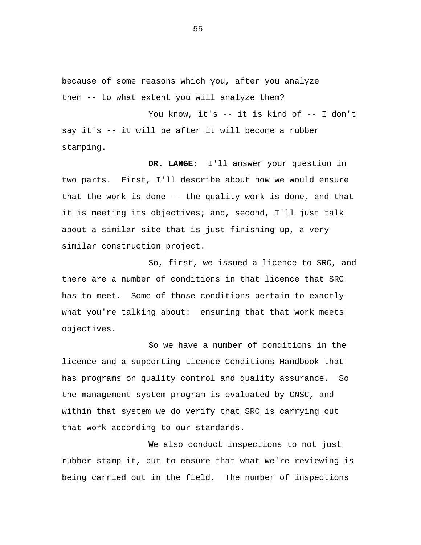because of some reasons which you, after you analyze them -- to what extent you will analyze them?

You know, it's -- it is kind of -- I don't say it's -- it will be after it will become a rubber stamping.

**DR. LANGE:** I'll answer your question in two parts. First, I'll describe about how we would ensure that the work is done -- the quality work is done, and that it is meeting its objectives; and, second, I'll just talk about a similar site that is just finishing up, a very similar construction project.

So, first, we issued a licence to SRC, and there are a number of conditions in that licence that SRC has to meet. Some of those conditions pertain to exactly what you're talking about: ensuring that that work meets objectives.

So we have a number of conditions in the licence and a supporting Licence Conditions Handbook that has programs on quality control and quality assurance. So the management system program is evaluated by CNSC, and within that system we do verify that SRC is carrying out that work according to our standards.

We also conduct inspections to not just rubber stamp it, but to ensure that what we're reviewing is being carried out in the field. The number of inspections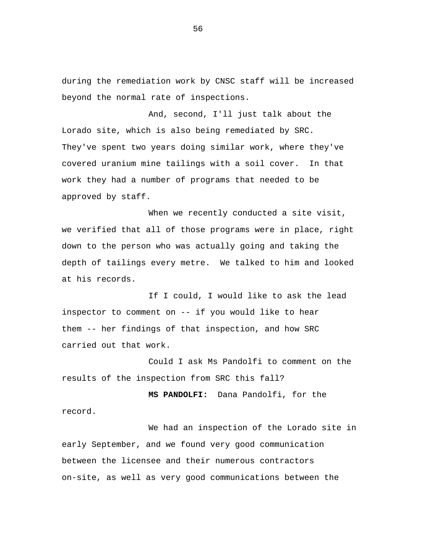during the remediation work by CNSC staff will be increased beyond the normal rate of inspections.

And, second, I'll just talk about the Lorado site, which is also being remediated by SRC. They've spent two years doing similar work, where they've covered uranium mine tailings with a soil cover. In that work they had a number of programs that needed to be approved by staff.

When we recently conducted a site visit, we verified that all of those programs were in place, right down to the person who was actually going and taking the depth of tailings every metre. We talked to him and looked at his records.

If I could, I would like to ask the lead inspector to comment on -- if you would like to hear them -- her findings of that inspection, and how SRC carried out that work.

Could I ask Ms Pandolfi to comment on the results of the inspection from SRC this fall?

**MS PANDOLFI:** Dana Pandolfi, for the record.

We had an inspection of the Lorado site in early September, and we found very good communication between the licensee and their numerous contractors on-site, as well as very good communications between the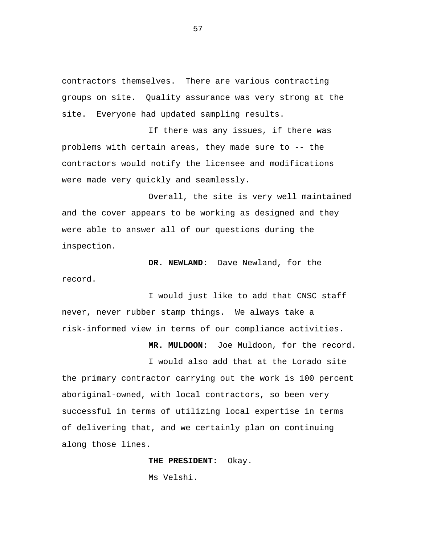contractors themselves. There are various contracting groups on site. Quality assurance was very strong at the site. Everyone had updated sampling results.

If there was any issues, if there was problems with certain areas, they made sure to -- the contractors would notify the licensee and modifications were made very quickly and seamlessly.

Overall, the site is very well maintained and the cover appears to be working as designed and they were able to answer all of our questions during the inspection.

**DR. NEWLAND:** Dave Newland, for the record.

I would just like to add that CNSC staff never, never rubber stamp things. We always take a risk-informed view in terms of our compliance activities.

**MR. MULDOON:** Joe Muldoon, for the record.

I would also add that at the Lorado site the primary contractor carrying out the work is 100 percent aboriginal-owned, with local contractors, so been very successful in terms of utilizing local expertise in terms of delivering that, and we certainly plan on continuing along those lines.

> **THE PRESIDENT:** Okay. Ms Velshi.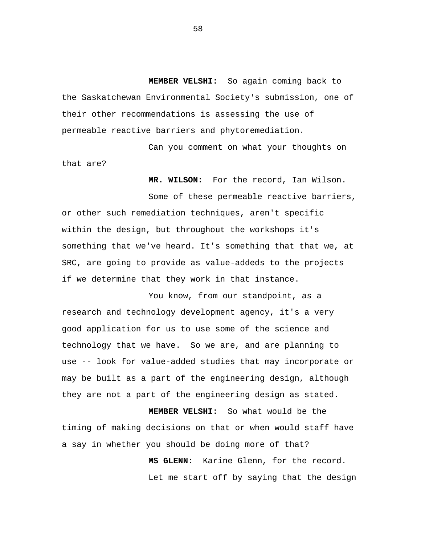**MEMBER VELSHI:** So again coming back to the Saskatchewan Environmental Society's submission, one of their other recommendations is assessing the use of permeable reactive barriers and phytoremediation.

Can you comment on what your thoughts on that are?

**MR. WILSON:** For the record, Ian Wilson.

Some of these permeable reactive barriers, or other such remediation techniques, aren't specific within the design, but throughout the workshops it's something that we've heard. It's something that that we, at SRC, are going to provide as value-addeds to the projects if we determine that they work in that instance.

You know, from our standpoint, as a research and technology development agency, it's a very good application for us to use some of the science and technology that we have. So we are, and are planning to use -- look for value-added studies that may incorporate or may be built as a part of the engineering design, although they are not a part of the engineering design as stated.

**MEMBER VELSHI:** So what would be the timing of making decisions on that or when would staff have a say in whether you should be doing more of that?

> **MS GLENN:** Karine Glenn, for the record. Let me start off by saying that the design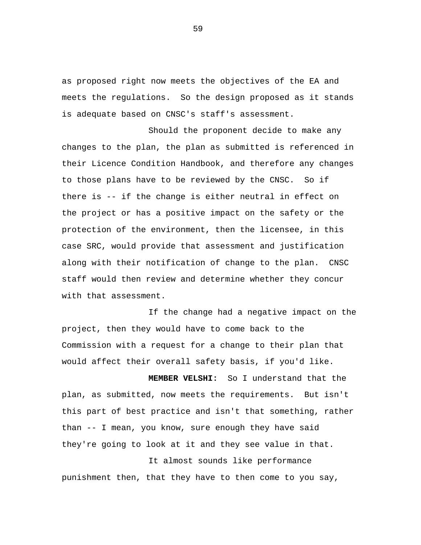as proposed right now meets the objectives of the EA and meets the regulations. So the design proposed as it stands is adequate based on CNSC's staff's assessment.

Should the proponent decide to make any changes to the plan, the plan as submitted is referenced in their Licence Condition Handbook, and therefore any changes to those plans have to be reviewed by the CNSC. So if there is -- if the change is either neutral in effect on the project or has a positive impact on the safety or the protection of the environment, then the licensee, in this case SRC, would provide that assessment and justification along with their notification of change to the plan. CNSC staff would then review and determine whether they concur with that assessment.

If the change had a negative impact on the project, then they would have to come back to the Commission with a request for a change to their plan that would affect their overall safety basis, if you'd like.

**MEMBER VELSHI:** So I understand that the plan, as submitted, now meets the requirements. But isn't this part of best practice and isn't that something, rather than -- I mean, you know, sure enough they have said they're going to look at it and they see value in that.

It almost sounds like performance punishment then, that they have to then come to you say,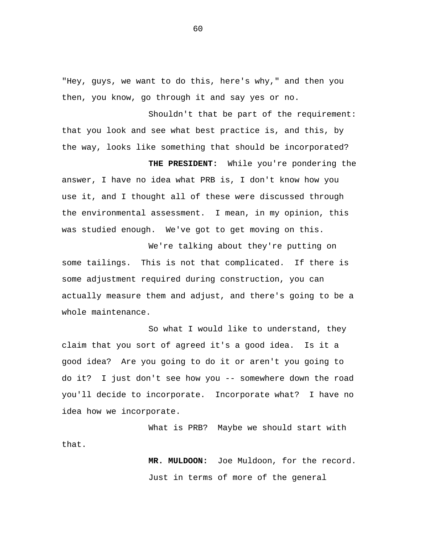"Hey, guys, we want to do this, here's why," and then you then, you know, go through it and say yes or no.

Shouldn't that be part of the requirement: that you look and see what best practice is, and this, by the way, looks like something that should be incorporated?

**THE PRESIDENT:** While you're pondering the answer, I have no idea what PRB is, I don't know how you use it, and I thought all of these were discussed through the environmental assessment. I mean, in my opinion, this was studied enough. We've got to get moving on this.

We're talking about they're putting on some tailings. This is not that complicated. If there is some adjustment required during construction, you can actually measure them and adjust, and there's going to be a whole maintenance.

So what I would like to understand, they claim that you sort of agreed it's a good idea. Is it a good idea? Are you going to do it or aren't you going to do it? I just don't see how you -- somewhere down the road you'll decide to incorporate. Incorporate what? I have no idea how we incorporate.

What is PRB? Maybe we should start with that.

> **MR. MULDOON:** Joe Muldoon, for the record. Just in terms of more of the general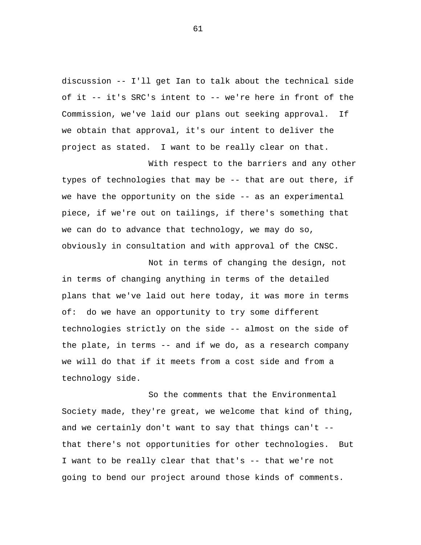discussion -- I'll get Ian to talk about the technical side of it -- it's SRC's intent to -- we're here in front of the Commission, we've laid our plans out seeking approval. If we obtain that approval, it's our intent to deliver the project as stated. I want to be really clear on that.

With respect to the barriers and any other types of technologies that may be -- that are out there, if we have the opportunity on the side -- as an experimental piece, if we're out on tailings, if there's something that we can do to advance that technology, we may do so, obviously in consultation and with approval of the CNSC.

Not in terms of changing the design, not in terms of changing anything in terms of the detailed plans that we've laid out here today, it was more in terms of: do we have an opportunity to try some different technologies strictly on the side -- almost on the side of the plate, in terms -- and if we do, as a research company we will do that if it meets from a cost side and from a technology side.

So the comments that the Environmental Society made, they're great, we welcome that kind of thing, and we certainly don't want to say that things can't - that there's not opportunities for other technologies. But I want to be really clear that that's -- that we're not going to bend our project around those kinds of comments.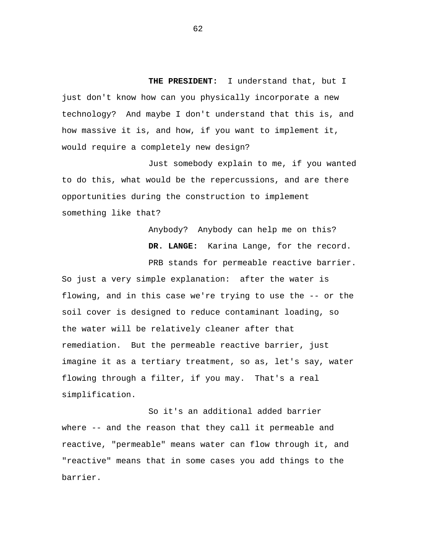**THE PRESIDENT:** I understand that, but I just don't know how can you physically incorporate a new technology? And maybe I don't understand that this is, and how massive it is, and how, if you want to implement it, would require a completely new design?

Just somebody explain to me, if you wanted to do this, what would be the repercussions, and are there opportunities during the construction to implement something like that?

> Anybody? Anybody can help me on this? **DR. LANGE:** Karina Lange, for the record.

PRB stands for permeable reactive barrier. So just a very simple explanation: after the water is flowing, and in this case we're trying to use the -- or the soil cover is designed to reduce contaminant loading, so the water will be relatively cleaner after that remediation. But the permeable reactive barrier, just imagine it as a tertiary treatment, so as, let's say, water flowing through a filter, if you may. That's a real simplification.

So it's an additional added barrier where -- and the reason that they call it permeable and reactive, "permeable" means water can flow through it, and "reactive" means that in some cases you add things to the barrier.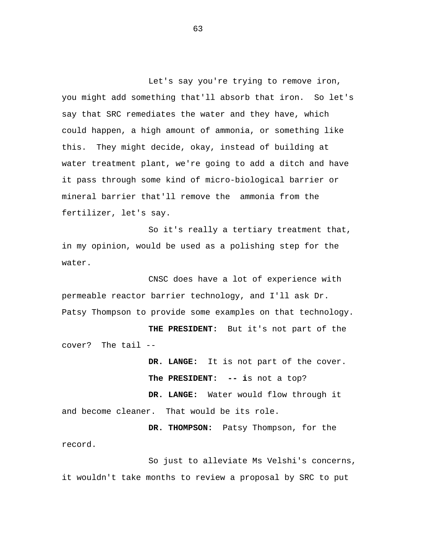Let's say you're trying to remove iron, you might add something that'll absorb that iron. So let's say that SRC remediates the water and they have, which could happen, a high amount of ammonia, or something like this. They might decide, okay, instead of building at water treatment plant, we're going to add a ditch and have it pass through some kind of micro-biological barrier or mineral barrier that'll remove the ammonia from the fertilizer, let's say.

So it's really a tertiary treatment that, in my opinion, would be used as a polishing step for the water.

CNSC does have a lot of experience with permeable reactor barrier technology, and I'll ask Dr. Patsy Thompson to provide some examples on that technology.

**THE PRESIDENT:** But it's not part of the cover? The tail --

> **DR. LANGE:** It is not part of the cover. **The PRESIDENT: -- i**s not a top?

**DR. LANGE:** Water would flow through it and become cleaner. That would be its role.

**DR. THOMPSON:** Patsy Thompson, for the record.

So just to alleviate Ms Velshi's concerns, it wouldn't take months to review a proposal by SRC to put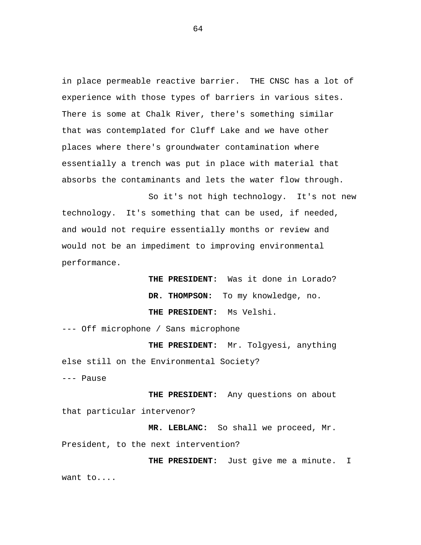in place permeable reactive barrier. THE CNSC has a lot of experience with those types of barriers in various sites. There is some at Chalk River, there's something similar that was contemplated for Cluff Lake and we have other places where there's groundwater contamination where essentially a trench was put in place with material that absorbs the contaminants and lets the water flow through.

So it's not high technology. It's not new technology. It's something that can be used, if needed, and would not require essentially months or review and would not be an impediment to improving environmental performance.

> **THE PRESIDENT:** Was it done in Lorado? **DR. THOMPSON:** To my knowledge, no. **THE PRESIDENT:** Ms Velshi.

--- Off microphone / Sans microphone

**THE PRESIDENT:** Mr. Tolgyesi, anything else still on the Environmental Society? --- Pause

**THE PRESIDENT:** Any questions on about that particular intervenor?

**MR. LEBLANC:** So shall we proceed, Mr. President, to the next intervention?

**THE PRESIDENT:** Just give me a minute. I want to....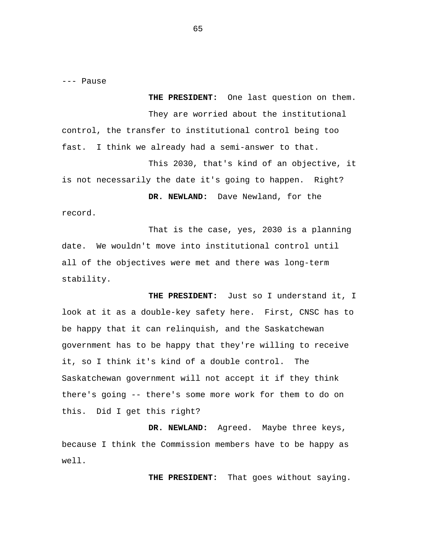--- Pause

**THE PRESIDENT:** One last question on them. They are worried about the institutional control, the transfer to institutional control being too fast. I think we already had a semi-answer to that. This 2030, that's kind of an objective, it is not necessarily the date it's going to happen. Right? **DR. NEWLAND:** Dave Newland, for the record.

That is the case, yes, 2030 is a planning date. We wouldn't move into institutional control until all of the objectives were met and there was long-term stability.

**THE PRESIDENT:** Just so I understand it, I look at it as a double-key safety here. First, CNSC has to be happy that it can relinquish, and the Saskatchewan government has to be happy that they're willing to receive it, so I think it's kind of a double control. The Saskatchewan government will not accept it if they think there's going -- there's some more work for them to do on this. Did I get this right?

**DR. NEWLAND:** Agreed. Maybe three keys, because I think the Commission members have to be happy as well.

**THE PRESIDENT:** That goes without saying.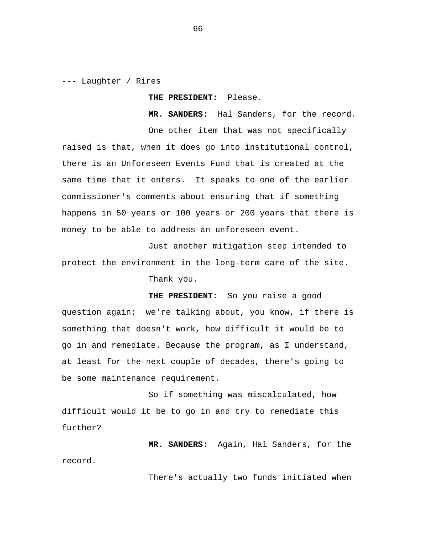--- Laughter / Rires

**THE PRESIDENT:** Please.

**MR. SANDERS:** Hal Sanders, for the record.

One other item that was not specifically raised is that, when it does go into institutional control, there is an Unforeseen Events Fund that is created at the same time that it enters. It speaks to one of the earlier commissioner's comments about ensuring that if something happens in 50 years or 100 years or 200 years that there is money to be able to address an unforeseen event.

Just another mitigation step intended to protect the environment in the long-term care of the site. Thank you.

**THE PRESIDENT:** So you raise a good question again: we're talking about, you know, if there is something that doesn't work, how difficult it would be to go in and remediate. Because the program, as I understand, at least for the next couple of decades, there's going to be some maintenance requirement.

So if something was miscalculated, how difficult would it be to go in and try to remediate this further?

**MR. SANDERS:** Again, Hal Sanders, for the record.

There's actually two funds initiated when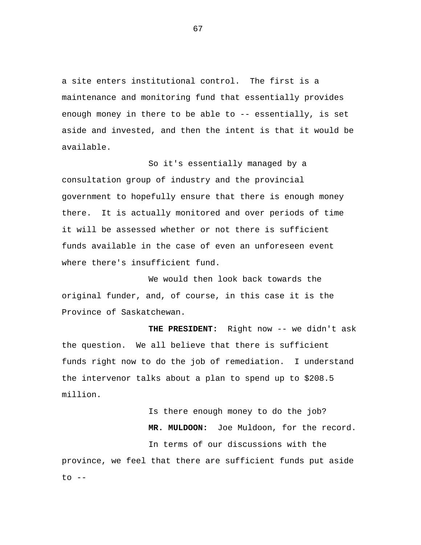a site enters institutional control. The first is a maintenance and monitoring fund that essentially provides enough money in there to be able to -- essentially, is set aside and invested, and then the intent is that it would be available.

So it's essentially managed by a consultation group of industry and the provincial government to hopefully ensure that there is enough money there. It is actually monitored and over periods of time it will be assessed whether or not there is sufficient funds available in the case of even an unforeseen event where there's insufficient fund.

We would then look back towards the original funder, and, of course, in this case it is the Province of Saskatchewan.

**THE PRESIDENT:** Right now -- we didn't ask the question. We all believe that there is sufficient funds right now to do the job of remediation. I understand the intervenor talks about a plan to spend up to \$208.5 million.

Is there enough money to do the job? **MR. MULDOON:** Joe Muldoon, for the record. In terms of our discussions with the province, we feel that there are sufficient funds put aside  $to$   $--$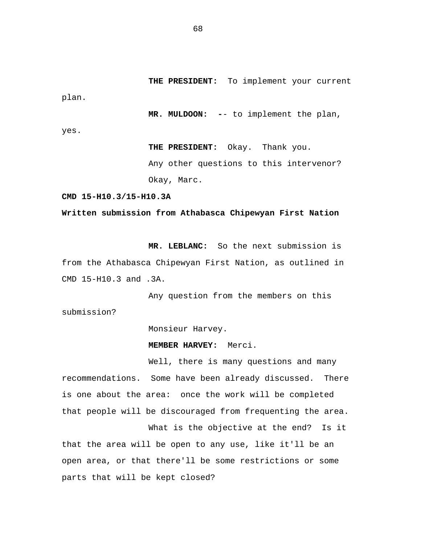**THE PRESIDENT:** To implement your current plan.

**MR. MULDOON: -**- to implement the plan,

yes.

**THE PRESIDENT:** Okay. Thank you. Any other questions to this intervenor? Okay, Marc.

**CMD 15-H10.3/15-H10.3A** 

## **Written submission from Athabasca Chipewyan First Nation**

**MR. LEBLANC:** So the next submission is from the Athabasca Chipewyan First Nation, as outlined in CMD 15-H10.3 and .3A.

Any question from the members on this submission?

Monsieur Harvey.

**MEMBER HARVEY:** Merci.

Well, there is many questions and many recommendations. Some have been already discussed. There is one about the area: once the work will be completed that people will be discouraged from frequenting the area.

What is the objective at the end? Is it that the area will be open to any use, like it'll be an open area, or that there'll be some restrictions or some parts that will be kept closed?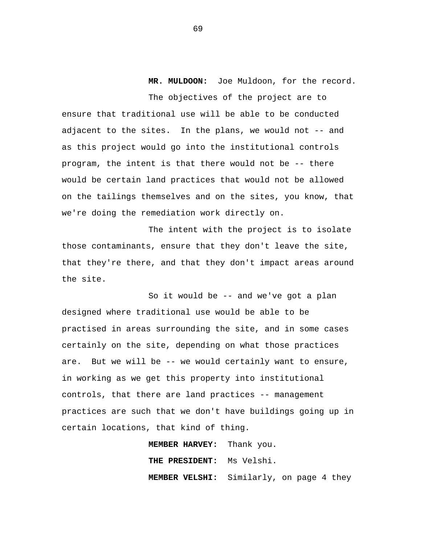**MR. MULDOON:** Joe Muldoon, for the record. The objectives of the project are to ensure that traditional use will be able to be conducted adjacent to the sites. In the plans, we would not -- and as this project would go into the institutional controls program, the intent is that there would not be -- there would be certain land practices that would not be allowed on the tailings themselves and on the sites, you know, that we're doing the remediation work directly on.

The intent with the project is to isolate those contaminants, ensure that they don't leave the site, that they're there, and that they don't impact areas around the site.

So it would be -- and we've got a plan designed where traditional use would be able to be practised in areas surrounding the site, and in some cases certainly on the site, depending on what those practices are. But we will be -- we would certainly want to ensure, in working as we get this property into institutional controls, that there are land practices -- management practices are such that we don't have buildings going up in certain locations, that kind of thing.

> **MEMBER HARVEY:** Thank you. **THE PRESIDENT:** Ms Velshi. **MEMBER VELSHI:** Similarly, on page 4 they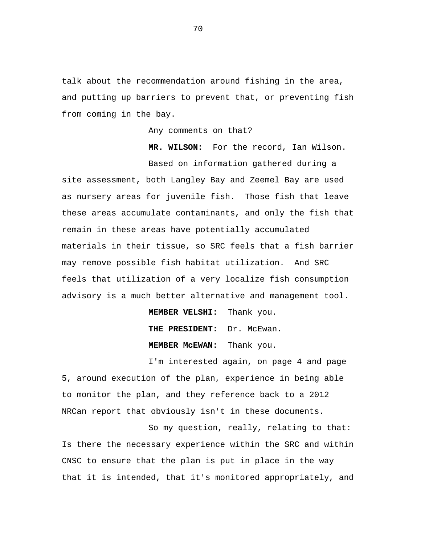talk about the recommendation around fishing in the area, and putting up barriers to prevent that, or preventing fish from coming in the bay.

Any comments on that?

**MR. WILSON:** For the record, Ian Wilson.

Based on information gathered during a site assessment, both Langley Bay and Zeemel Bay are used as nursery areas for juvenile fish. Those fish that leave these areas accumulate contaminants, and only the fish that remain in these areas have potentially accumulated materials in their tissue, so SRC feels that a fish barrier may remove possible fish habitat utilization. And SRC feels that utilization of a very localize fish consumption advisory is a much better alternative and management tool.

> **MEMBER VELSHI:** Thank you. **THE PRESIDENT:** Dr. McEwan. **MEMBER McEWAN:** Thank you.

I'm interested again, on page 4 and page 5, around execution of the plan, experience in being able to monitor the plan, and they reference back to a 2012 NRCan report that obviously isn't in these documents.

So my question, really, relating to that: Is there the necessary experience within the SRC and within CNSC to ensure that the plan is put in place in the way that it is intended, that it's monitored appropriately, and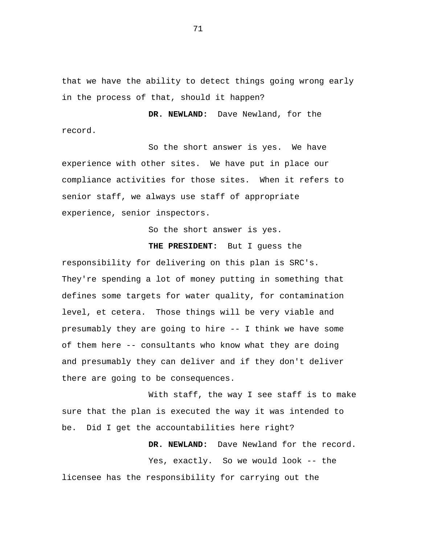that we have the ability to detect things going wrong early in the process of that, should it happen?

**DR. NEWLAND:** Dave Newland, for the record.

So the short answer is yes. We have experience with other sites. We have put in place our compliance activities for those sites. When it refers to senior staff, we always use staff of appropriate experience, senior inspectors.

So the short answer is yes.

**THE PRESIDENT:** But I guess the

responsibility for delivering on this plan is SRC's. They're spending a lot of money putting in something that defines some targets for water quality, for contamination level, et cetera. Those things will be very viable and presumably they are going to hire -- I think we have some of them here -- consultants who know what they are doing and presumably they can deliver and if they don't deliver there are going to be consequences.

With staff, the way I see staff is to make sure that the plan is executed the way it was intended to be. Did I get the accountabilities here right?

 **DR. NEWLAND:** Dave Newland for the record.

Yes, exactly. So we would look -- the licensee has the responsibility for carrying out the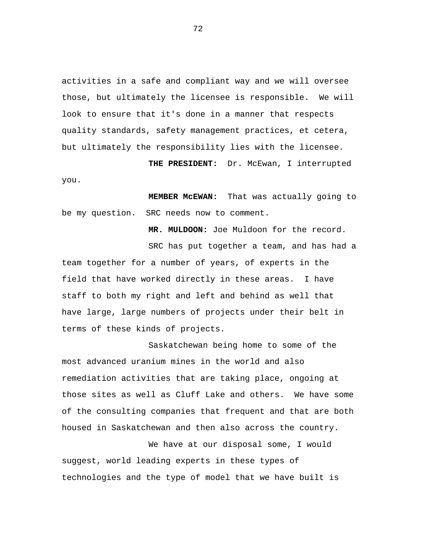activities in a safe and compliant way and we will oversee those, but ultimately the licensee is responsible. We will look to ensure that it's done in a manner that respects quality standards, safety management practices, et cetera, but ultimately the responsibility lies with the licensee.

 **THE PRESIDENT:** Dr. McEwan, I interrupted

 **MEMBER McEWAN:** That was actually going to be my question. SRC needs now to comment.

you.

 **MR. MULDOON:** Joe Muldoon for the record.

SRC has put together a team, and has had a team together for a number of years, of experts in the field that have worked directly in these areas. I have staff to both my right and left and behind as well that have large, large numbers of projects under their belt in terms of these kinds of projects.

Saskatchewan being home to some of the most advanced uranium mines in the world and also remediation activities that are taking place, ongoing at those sites as well as Cluff Lake and others. We have some of the consulting companies that frequent and that are both housed in Saskatchewan and then also across the country.

We have at our disposal some, I would suggest, world leading experts in these types of technologies and the type of model that we have built is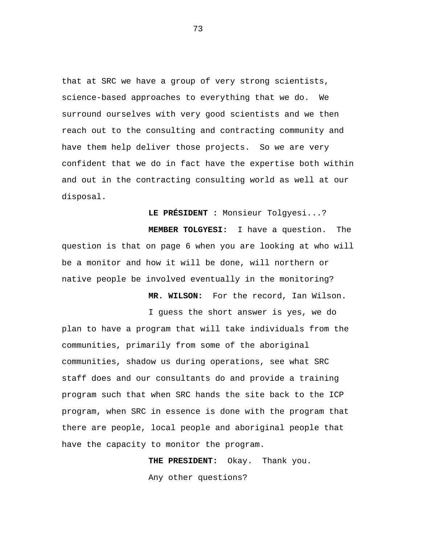that at SRC we have a group of very strong scientists, science-based approaches to everything that we do. We surround ourselves with very good scientists and we then reach out to the consulting and contracting community and have them help deliver those projects. So we are very confident that we do in fact have the expertise both within and out in the contracting consulting world as well at our disposal.

**LE PRÉSIDENT :** Monsieur Tolgyesi...?

 **MEMBER TOLGYESI:** I have a question. The question is that on page 6 when you are looking at who will be a monitor and how it will be done, will northern or native people be involved eventually in the monitoring?

 **MR. WILSON:** For the record, Ian Wilson.

I guess the short answer is yes, we do

plan to have a program that will take individuals from the communities, primarily from some of the aboriginal communities, shadow us during operations, see what SRC staff does and our consultants do and provide a training program such that when SRC hands the site back to the ICP program, when SRC in essence is done with the program that there are people, local people and aboriginal people that have the capacity to monitor the program.

> **THE PRESIDENT:** Okay. Thank you. Any other questions?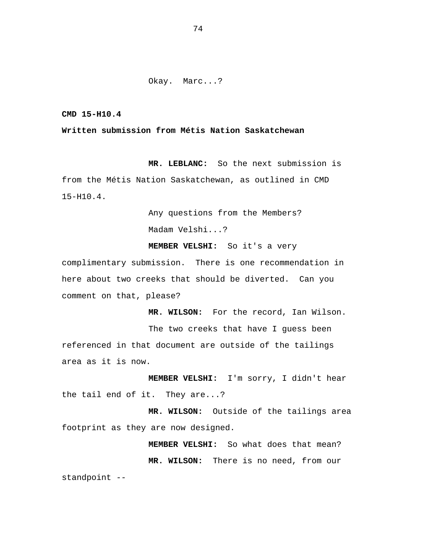# Okay. Marc...?

**CMD 15-H10.4** 

# **Written submission from Métis Nation Saskatchewan**

 **MR. LEBLANC:** So the next submission is from the Métis Nation Saskatchewan, as outlined in CMD 15-H10.4.

> Any questions from the Members? Madam Velshi...?

 **MEMBER VELSHI:** So it's a very

 **MR. WILSON:** For the record, Ian Wilson.

complimentary submission. There is one recommendation in here about two creeks that should be diverted. Can you comment on that, please?

The two creeks that have I guess been referenced in that document are outside of the tailings area as it is now.

 **MEMBER VELSHI:** I'm sorry, I didn't hear the tail end of it. They are...?

 **MR. WILSON:** Outside of the tailings area footprint as they are now designed.

> **MEMBER VELSHI:** So what does that mean?  **MR. WILSON:** There is no need, from our

standpoint --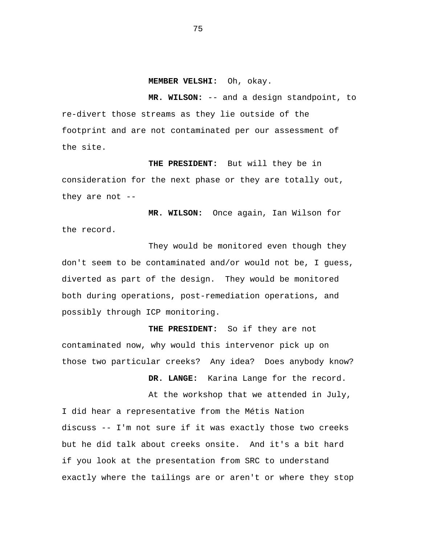#### **MEMBER VELSHI:** Oh, okay.

**MR. WILSON:** -- and a design standpoint, to re-divert those streams as they lie outside of the footprint and are not contaminated per our assessment of the site.

 **THE PRESIDENT:** But will they be in consideration for the next phase or they are totally out, they are not  $-$ -

 **MR. WILSON:** Once again, Ian Wilson for the record.

They would be monitored even though they don't seem to be contaminated and/or would not be, I guess, diverted as part of the design. They would be monitored both during operations, post-remediation operations, and possibly through ICP monitoring.

 **THE PRESIDENT:** So if they are not contaminated now, why would this intervenor pick up on those two particular creeks? Any idea? Does anybody know?

 **DR. LANGE:** Karina Lange for the record.

At the workshop that we attended in July,

I did hear a representative from the Métis Nation discuss -- I'm not sure if it was exactly those two creeks but he did talk about creeks onsite. And it's a bit hard if you look at the presentation from SRC to understand exactly where the tailings are or aren't or where they stop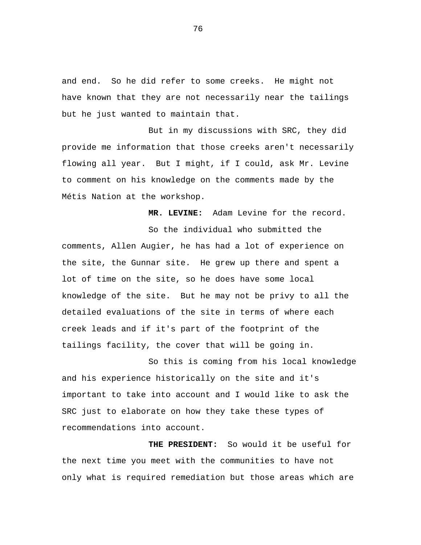and end. So he did refer to some creeks. He might not have known that they are not necessarily near the tailings but he just wanted to maintain that.

But in my discussions with SRC, they did provide me information that those creeks aren't necessarily flowing all year. But I might, if I could, ask Mr. Levine to comment on his knowledge on the comments made by the Métis Nation at the workshop.

 **MR. LEVINE:** Adam Levine for the record.

So the individual who submitted the comments, Allen Augier, he has had a lot of experience on the site, the Gunnar site. He grew up there and spent a lot of time on the site, so he does have some local knowledge of the site. But he may not be privy to all the detailed evaluations of the site in terms of where each creek leads and if it's part of the footprint of the tailings facility, the cover that will be going in.

So this is coming from his local knowledge and his experience historically on the site and it's important to take into account and I would like to ask the SRC just to elaborate on how they take these types of recommendations into account.

 **THE PRESIDENT:** So would it be useful for the next time you meet with the communities to have not only what is required remediation but those areas which are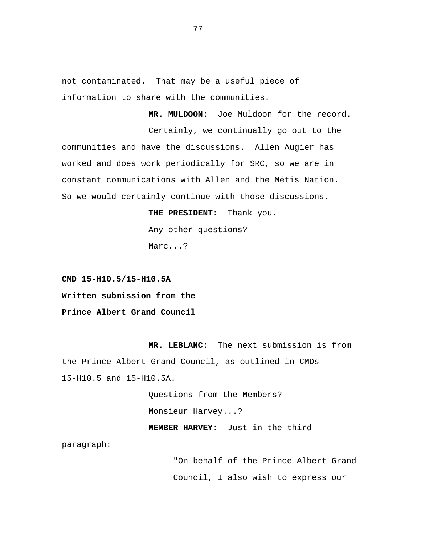not contaminated. That may be a useful piece of information to share with the communities.

 **MR. MULDOON:** Joe Muldoon for the record. Certainly, we continually go out to the communities and have the discussions. Allen Augier has worked and does work periodically for SRC, so we are in

So we would certainly continue with those discussions.

constant communications with Allen and the Métis Nation.

 **THE PRESIDENT:** Thank you. Any other questions? Marc...?

**CMD 15-H10.5/15-H10.5A Written submission from the Prince Albert Grand Council** 

**MR. LEBLANC:** The next submission is from the Prince Albert Grand Council, as outlined in CMDs 15-H10.5 and 15-H10.5A.

> Questions from the Members? Monsieur Harvey...?  **MEMBER HARVEY:** Just in the third

paragraph:

"On behalf of the Prince Albert Grand Council, I also wish to express our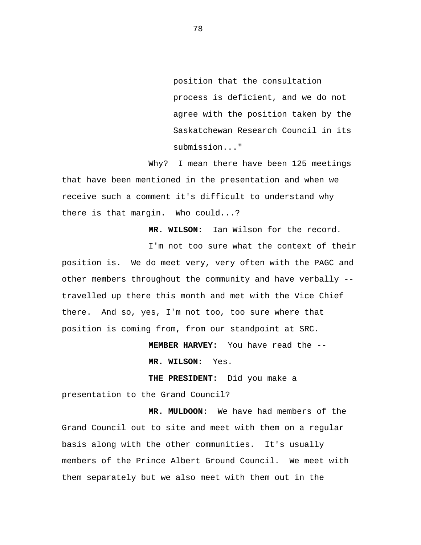position that the consultation process is deficient, and we do not agree with the position taken by the Saskatchewan Research Council in its submission..."

Why? I mean there have been 125 meetings that have been mentioned in the presentation and when we receive such a comment it's difficult to understand why there is that margin. Who could...?

**MR. WILSON:** Ian Wilson for the record.

I'm not too sure what the context of their position is. We do meet very, very often with the PAGC and other members throughout the community and have verbally - travelled up there this month and met with the Vice Chief there. And so, yes, I'm not too, too sure where that position is coming from, from our standpoint at SRC.

 **MEMBER HARVEY:** You have read the -

 **MR. WILSON:** Yes.

 **THE PRESIDENT:** Did you make a

presentation to the Grand Council?

 **MR. MULDOON:** We have had members of the Grand Council out to site and meet with them on a regular basis along with the other communities. It's usually members of the Prince Albert Ground Council. We meet with them separately but we also meet with them out in the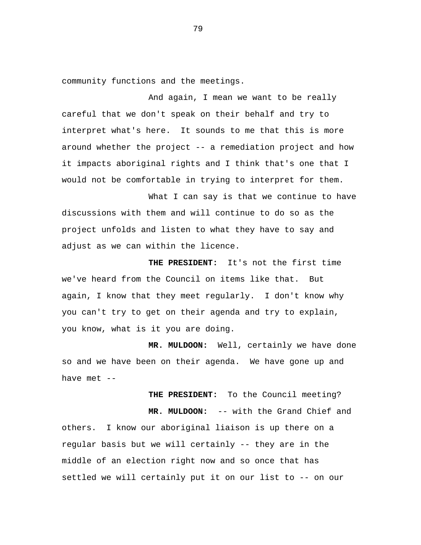community functions and the meetings.

And again, I mean we want to be really careful that we don't speak on their behalf and try to interpret what's here. It sounds to me that this is more around whether the project -- a remediation project and how it impacts aboriginal rights and I think that's one that I would not be comfortable in trying to interpret for them.

What I can say is that we continue to have discussions with them and will continue to do so as the project unfolds and listen to what they have to say and adjust as we can within the licence.

 **THE PRESIDENT:** It's not the first time we've heard from the Council on items like that. But again, I know that they meet regularly. I don't know why you can't try to get on their agenda and try to explain, you know, what is it you are doing.

**MR. MULDOON:** Well, certainly we have done so and we have been on their agenda. We have gone up and have met --

**THE PRESIDENT:** To the Council meeting?  **MR. MULDOON:** -- with the Grand Chief and others. I know our aboriginal liaison is up there on a regular basis but we will certainly -- they are in the middle of an election right now and so once that has settled we will certainly put it on our list to -- on our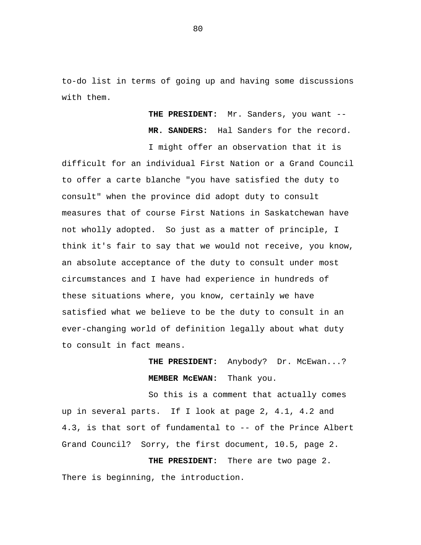to-do list in terms of going up and having some discussions with them.

> **THE PRESIDENT:** Mr. Sanders, you want -- **MR. SANDERS:** Hal Sanders for the record.

I might offer an observation that it is difficult for an individual First Nation or a Grand Council to offer a carte blanche "you have satisfied the duty to consult" when the province did adopt duty to consult measures that of course First Nations in Saskatchewan have not wholly adopted. So just as a matter of principle, I think it's fair to say that we would not receive, you know, an absolute acceptance of the duty to consult under most circumstances and I have had experience in hundreds of these situations where, you know, certainly we have satisfied what we believe to be the duty to consult in an ever-changing world of definition legally about what duty to consult in fact means.

> **THE PRESIDENT:** Anybody? Dr. McEwan...?  **MEMBER McEWAN:** Thank you.

So this is a comment that actually comes up in several parts. If I look at page 2, 4.1, 4.2 and 4.3, is that sort of fundamental to -- of the Prince Albert Grand Council? Sorry, the first document, 10.5, page 2.

**THE PRESIDENT:** There are two page 2. There is beginning, the introduction.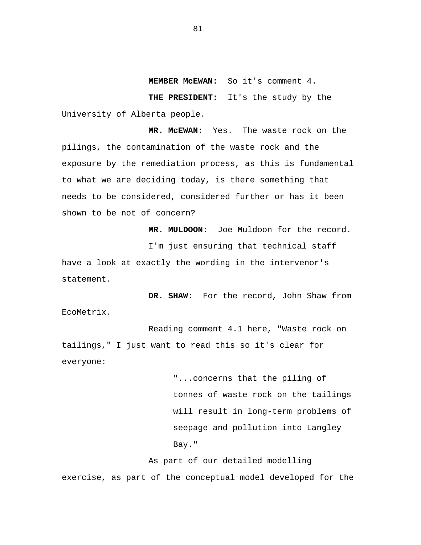### **MEMBER McEWAN:** So it's comment 4.

**THE PRESIDENT:** It's the study by the University of Alberta people.

**MR. McEWAN:** Yes. The waste rock on the pilings, the contamination of the waste rock and the exposure by the remediation process, as this is fundamental to what we are deciding today, is there something that needs to be considered, considered further or has it been shown to be not of concern?

 **MR. MULDOON:** Joe Muldoon for the record. I'm just ensuring that technical staff have a look at exactly the wording in the intervenor's statement.

 **DR. SHAW:** For the record, John Shaw from EcoMetrix.

Reading comment 4.1 here, "Waste rock on tailings," I just want to read this so it's clear for everyone:

> "...concerns that the piling of tonnes of waste rock on the tailings will result in long-term problems of seepage and pollution into Langley Bay."

As part of our detailed modelling exercise, as part of the conceptual model developed for the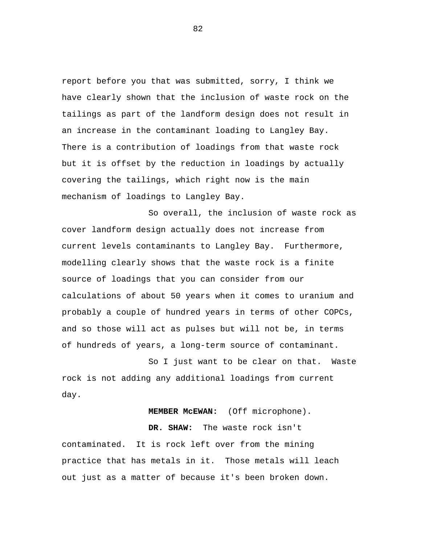report before you that was submitted, sorry, I think we have clearly shown that the inclusion of waste rock on the tailings as part of the landform design does not result in an increase in the contaminant loading to Langley Bay. There is a contribution of loadings from that waste rock but it is offset by the reduction in loadings by actually covering the tailings, which right now is the main mechanism of loadings to Langley Bay.

So overall, the inclusion of waste rock as cover landform design actually does not increase from current levels contaminants to Langley Bay. Furthermore, modelling clearly shows that the waste rock is a finite source of loadings that you can consider from our calculations of about 50 years when it comes to uranium and probably a couple of hundred years in terms of other COPCs, and so those will act as pulses but will not be, in terms of hundreds of years, a long-term source of contaminant.

So I just want to be clear on that. Waste rock is not adding any additional loadings from current day.

## **MEMBER McEWAN:** (Off microphone).

 **DR. SHAW:** The waste rock isn't contaminated. It is rock left over from the mining practice that has metals in it. Those metals will leach out just as a matter of because it's been broken down.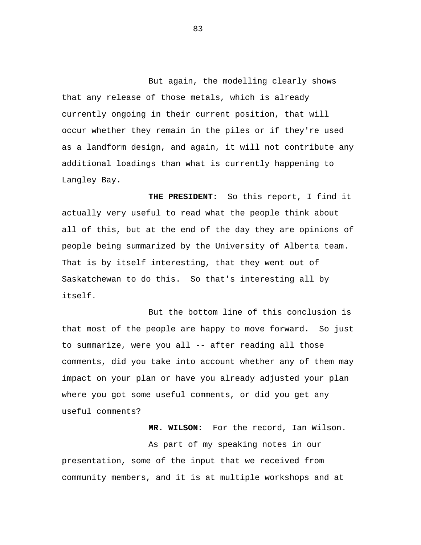But again, the modelling clearly shows that any release of those metals, which is already currently ongoing in their current position, that will occur whether they remain in the piles or if they're used as a landform design, and again, it will not contribute any additional loadings than what is currently happening to Langley Bay.

 **THE PRESIDENT:** So this report, I find it actually very useful to read what the people think about all of this, but at the end of the day they are opinions of people being summarized by the University of Alberta team. That is by itself interesting, that they went out of Saskatchewan to do this. So that's interesting all by itself.

But the bottom line of this conclusion is that most of the people are happy to move forward. So just to summarize, were you all -- after reading all those comments, did you take into account whether any of them may impact on your plan or have you already adjusted your plan where you got some useful comments, or did you get any useful comments?

 **MR. WILSON:** For the record, Ian Wilson.

As part of my speaking notes in our presentation, some of the input that we received from community members, and it is at multiple workshops and at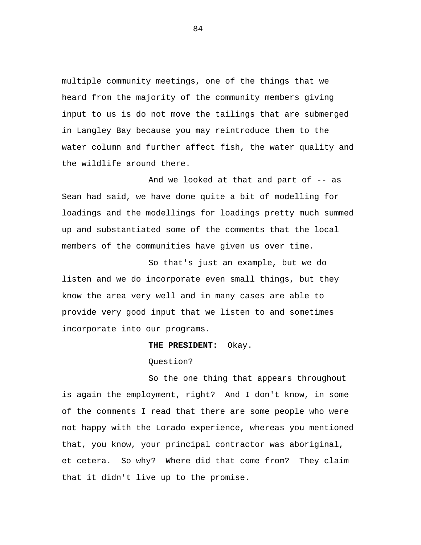multiple community meetings, one of the things that we heard from the majority of the community members giving input to us is do not move the tailings that are submerged in Langley Bay because you may reintroduce them to the water column and further affect fish, the water quality and the wildlife around there.

And we looked at that and part of -- as Sean had said, we have done quite a bit of modelling for loadings and the modellings for loadings pretty much summed up and substantiated some of the comments that the local members of the communities have given us over time.

So that's just an example, but we do listen and we do incorporate even small things, but they know the area very well and in many cases are able to provide very good input that we listen to and sometimes incorporate into our programs.

## **THE PRESIDENT:** Okay.

# Question?

So the one thing that appears throughout is again the employment, right? And I don't know, in some of the comments I read that there are some people who were not happy with the Lorado experience, whereas you mentioned that, you know, your principal contractor was aboriginal, et cetera. So why? Where did that come from? They claim that it didn't live up to the promise.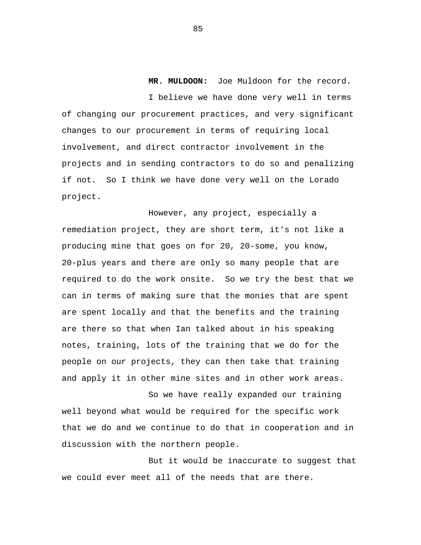**MR. MULDOON:** Joe Muldoon for the record. I believe we have done very well in terms of changing our procurement practices, and very significant changes to our procurement in terms of requiring local involvement, and direct contractor involvement in the projects and in sending contractors to do so and penalizing if not. So I think we have done very well on the Lorado project.

However, any project, especially a remediation project, they are short term, it's not like a producing mine that goes on for 20, 20-some, you know, 20-plus years and there are only so many people that are required to do the work onsite. So we try the best that we can in terms of making sure that the monies that are spent are spent locally and that the benefits and the training are there so that when Ian talked about in his speaking notes, training, lots of the training that we do for the people on our projects, they can then take that training and apply it in other mine sites and in other work areas.

So we have really expanded our training well beyond what would be required for the specific work that we do and we continue to do that in cooperation and in discussion with the northern people.

But it would be inaccurate to suggest that we could ever meet all of the needs that are there.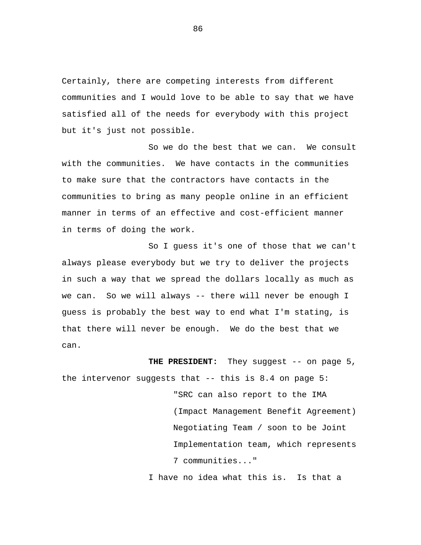Certainly, there are competing interests from different communities and I would love to be able to say that we have satisfied all of the needs for everybody with this project but it's just not possible.

So we do the best that we can. We consult with the communities. We have contacts in the communities to make sure that the contractors have contacts in the communities to bring as many people online in an efficient manner in terms of an effective and cost-efficient manner in terms of doing the work.

So I guess it's one of those that we can't always please everybody but we try to deliver the projects in such a way that we spread the dollars locally as much as we can. So we will always -- there will never be enough I guess is probably the best way to end what I'm stating, is that there will never be enough. We do the best that we can.

THE PRESIDENT: They suggest -- on page 5, the intervenor suggests that -- this is 8.4 on page 5: "SRC can also report to the IMA (Impact Management Benefit Agreement) Negotiating Team / soon to be Joint Implementation team, which represents 7 communities..." I have no idea what this is. Is that a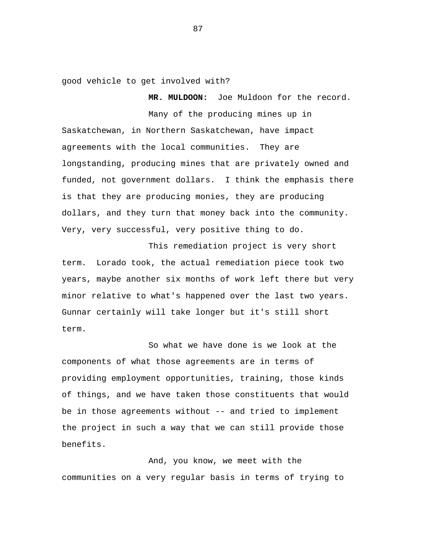good vehicle to get involved with?

 **MR. MULDOON:** Joe Muldoon for the record.

Many of the producing mines up in Saskatchewan, in Northern Saskatchewan, have impact agreements with the local communities. They are longstanding, producing mines that are privately owned and funded, not government dollars. I think the emphasis there is that they are producing monies, they are producing dollars, and they turn that money back into the community. Very, very successful, very positive thing to do.

This remediation project is very short term. Lorado took, the actual remediation piece took two years, maybe another six months of work left there but very minor relative to what's happened over the last two years. Gunnar certainly will take longer but it's still short term.

So what we have done is we look at the components of what those agreements are in terms of providing employment opportunities, training, those kinds of things, and we have taken those constituents that would be in those agreements without -- and tried to implement the project in such a way that we can still provide those benefits.

And, you know, we meet with the communities on a very regular basis in terms of trying to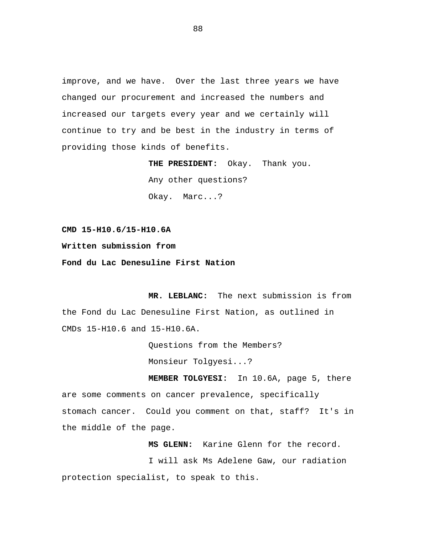improve, and we have. Over the last three years we have changed our procurement and increased the numbers and increased our targets every year and we certainly will continue to try and be best in the industry in terms of providing those kinds of benefits.

> **THE PRESIDENT:** Okay. Thank you. Any other questions? Okay. Marc...?

**CMD 15-H10.6/15-H10.6A** 

**Written submission from** 

**Fond du Lac Denesuline First Nation** 

**MR. LEBLANC:** The next submission is from the Fond du Lac Denesuline First Nation, as outlined in CMDs 15-H10.6 and 15-H10.6A.

> Questions from the Members? Monsieur Tolgyesi...?

 **MEMBER TOLGYESI:** In 10.6A, page 5, there are some comments on cancer prevalence, specifically stomach cancer. Could you comment on that, staff? It's in the middle of the page.

 **MS GLENN:** Karine Glenn for the record. I will ask Ms Adelene Gaw, our radiation protection specialist, to speak to this.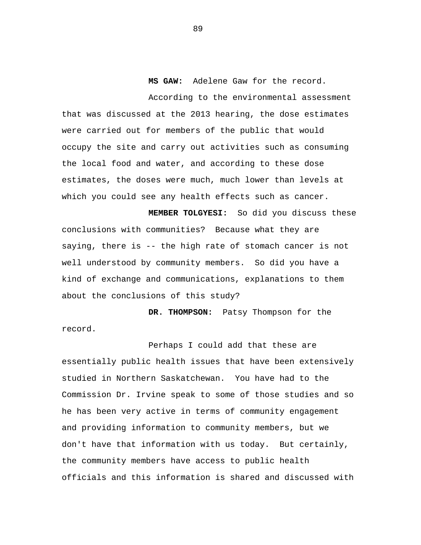**MS GAW:** Adelene Gaw for the record.

According to the environmental assessment that was discussed at the 2013 hearing, the dose estimates were carried out for members of the public that would occupy the site and carry out activities such as consuming the local food and water, and according to these dose estimates, the doses were much, much lower than levels at which you could see any health effects such as cancer.

 **MEMBER TOLGYESI:** So did you discuss these conclusions with communities? Because what they are saying, there is -- the high rate of stomach cancer is not well understood by community members. So did you have a kind of exchange and communications, explanations to them about the conclusions of this study?

 **DR. THOMPSON:** Patsy Thompson for the record.

Perhaps I could add that these are essentially public health issues that have been extensively studied in Northern Saskatchewan. You have had to the Commission Dr. Irvine speak to some of those studies and so he has been very active in terms of community engagement and providing information to community members, but we don't have that information with us today. But certainly, the community members have access to public health officials and this information is shared and discussed with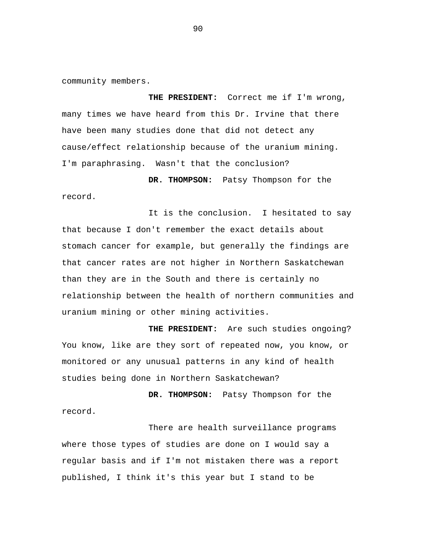community members.

 **THE PRESIDENT:** Correct me if I'm wrong, many times we have heard from this Dr. Irvine that there have been many studies done that did not detect any cause/effect relationship because of the uranium mining. I'm paraphrasing. Wasn't that the conclusion?

 **DR. THOMPSON:** Patsy Thompson for the record.

It is the conclusion. I hesitated to say that because I don't remember the exact details about stomach cancer for example, but generally the findings are that cancer rates are not higher in Northern Saskatchewan than they are in the South and there is certainly no relationship between the health of northern communities and uranium mining or other mining activities.

 **THE PRESIDENT:** Are such studies ongoing? You know, like are they sort of repeated now, you know, or monitored or any unusual patterns in any kind of health studies being done in Northern Saskatchewan?

 **DR. THOMPSON:** Patsy Thompson for the record.

There are health surveillance programs where those types of studies are done on I would say a regular basis and if I'm not mistaken there was a report published, I think it's this year but I stand to be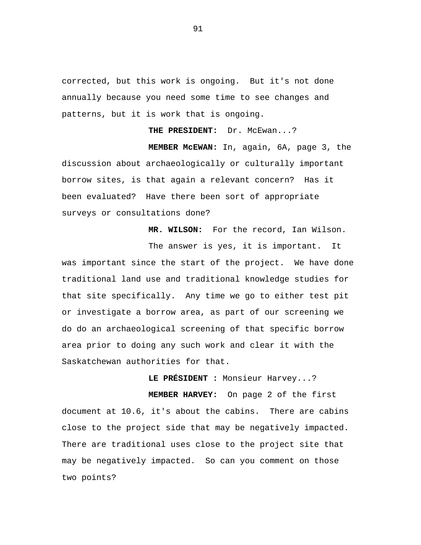corrected, but this work is ongoing. But it's not done annually because you need some time to see changes and patterns, but it is work that is ongoing.

 **THE PRESIDENT:** Dr. McEwan...?

 **MEMBER McEWAN:** In, again, 6A, page 3, the discussion about archaeologically or culturally important borrow sites, is that again a relevant concern? Has it been evaluated? Have there been sort of appropriate surveys or consultations done?

 **MR. WILSON:** For the record, Ian Wilson.

The answer is yes, it is important. It was important since the start of the project. We have done traditional land use and traditional knowledge studies for that site specifically. Any time we go to either test pit or investigate a borrow area, as part of our screening we do do an archaeological screening of that specific borrow area prior to doing any such work and clear it with the Saskatchewan authorities for that.

**LE PRÉSIDENT :** Monsieur Harvey...?

 **MEMBER HARVEY:** On page 2 of the first document at 10.6, it's about the cabins. There are cabins close to the project side that may be negatively impacted. There are traditional uses close to the project site that may be negatively impacted. So can you comment on those two points?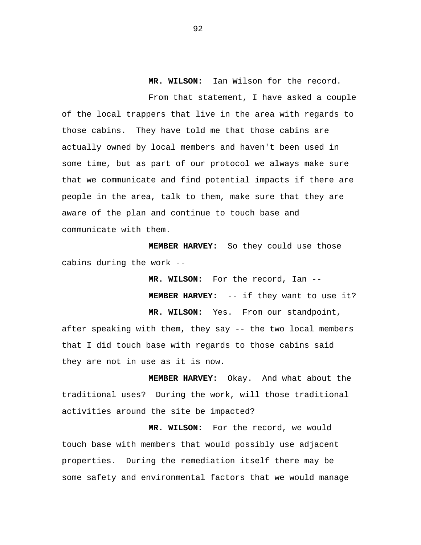**MR. WILSON:** Ian Wilson for the record.

From that statement, I have asked a couple of the local trappers that live in the area with regards to those cabins. They have told me that those cabins are actually owned by local members and haven't been used in some time, but as part of our protocol we always make sure that we communicate and find potential impacts if there are people in the area, talk to them, make sure that they are aware of the plan and continue to touch base and communicate with them.

 **MEMBER HARVEY:** So they could use those cabins during the work -

> **MR. WILSON:** For the record, Ian -  **MEMBER HARVEY:** -- if they want to use it? **MR. WILSON:** Yes. From our standpoint,

after speaking with them, they say -- the two local members that I did touch base with regards to those cabins said they are not in use as it is now.

 **MEMBER HARVEY:** Okay. And what about the traditional uses? During the work, will those traditional activities around the site be impacted?

**MR. WILSON:** For the record, we would touch base with members that would possibly use adjacent properties. During the remediation itself there may be some safety and environmental factors that we would manage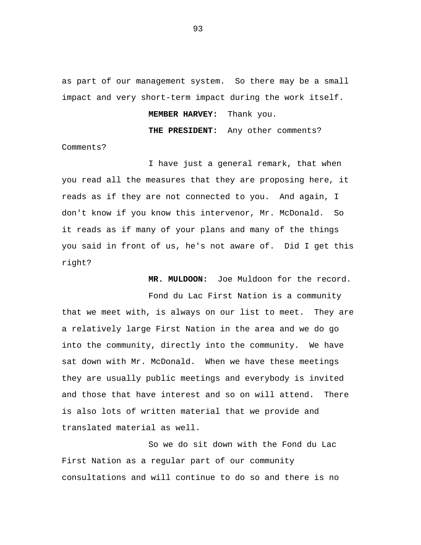as part of our management system. So there may be a small impact and very short-term impact during the work itself.

# **MEMBER HARVEY:** Thank you.

 **THE PRESIDENT:** Any other comments?

Comments?

I have just a general remark, that when you read all the measures that they are proposing here, it reads as if they are not connected to you. And again, I don't know if you know this intervenor, Mr. McDonald. So it reads as if many of your plans and many of the things you said in front of us, he's not aware of. Did I get this right?

 **MR. MULDOON:** Joe Muldoon for the record.

Fond du Lac First Nation is a community that we meet with, is always on our list to meet. They are a relatively large First Nation in the area and we do go into the community, directly into the community. We have sat down with Mr. McDonald. When we have these meetings they are usually public meetings and everybody is invited and those that have interest and so on will attend. There is also lots of written material that we provide and translated material as well.

So we do sit down with the Fond du Lac First Nation as a regular part of our community consultations and will continue to do so and there is no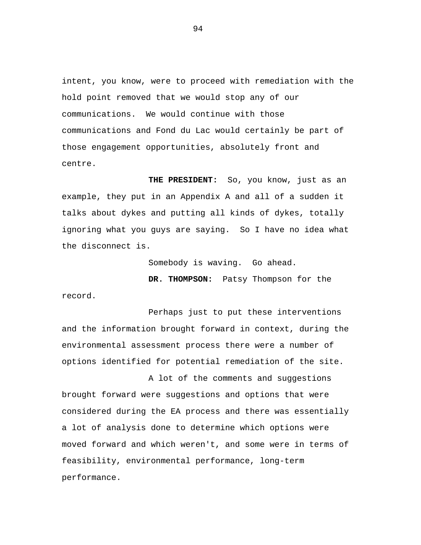intent, you know, were to proceed with remediation with the hold point removed that we would stop any of our communications. We would continue with those communications and Fond du Lac would certainly be part of those engagement opportunities, absolutely front and centre.

 **THE PRESIDENT:** So, you know, just as an example, they put in an Appendix A and all of a sudden it talks about dykes and putting all kinds of dykes, totally ignoring what you guys are saying. So I have no idea what the disconnect is.

Somebody is waving. Go ahead.

 **DR. THOMPSON:** Patsy Thompson for the record.

Perhaps just to put these interventions and the information brought forward in context, during the environmental assessment process there were a number of options identified for potential remediation of the site.

A lot of the comments and suggestions brought forward were suggestions and options that were considered during the EA process and there was essentially a lot of analysis done to determine which options were moved forward and which weren't, and some were in terms of feasibility, environmental performance, long-term performance.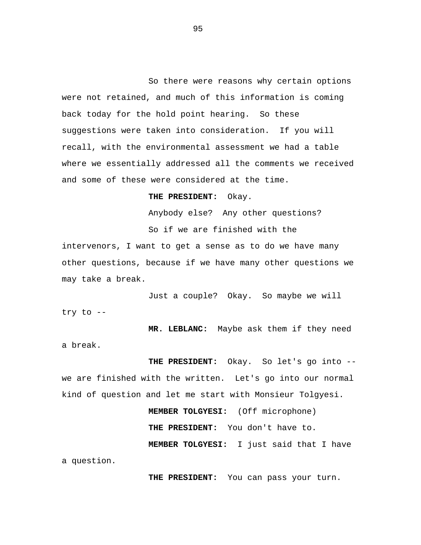So there were reasons why certain options were not retained, and much of this information is coming back today for the hold point hearing. So these suggestions were taken into consideration. If you will recall, with the environmental assessment we had a table where we essentially addressed all the comments we received and some of these were considered at the time.

### **THE PRESIDENT:** Okay.

Anybody else? Any other questions? So if we are finished with the intervenors, I want to get a sense as to do we have many other questions, because if we have many other questions we may take a break.

Just a couple? Okay. So maybe we will try to --

 **MR. LEBLANC:** Maybe ask them if they need a break.

 **THE PRESIDENT:** Okay. So let's go into - we are finished with the written. Let's go into our normal kind of question and let me start with Monsieur Tolgyesi.  **MEMBER TOLGYESI:** (Off microphone)

> **THE PRESIDENT:** You don't have to. **MEMBER TOLGYESI:** I just said that I have

a question.

**THE PRESIDENT:** You can pass your turn.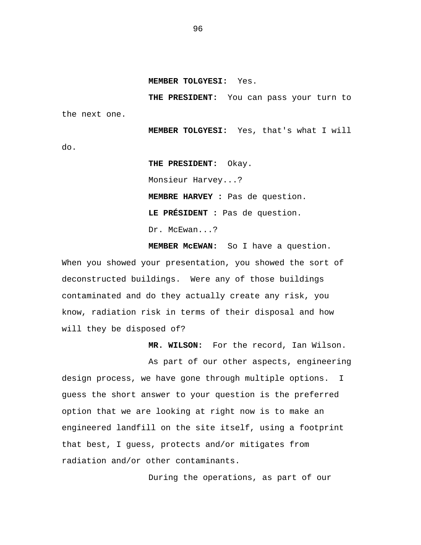**MEMBER TOLGYESI:** Yes.

 **THE PRESIDENT:** You can pass your turn to the next one.

**MEMBER TOLGYESI:** Yes, that's what I will do. **THE PRESIDENT:** Okay.

 Monsieur Harvey...? **MEMBRE HARVEY :** Pas de question. **LE PRÉSIDENT :** Pas de question. Dr. McEwan...?

 **MEMBER McEWAN:** So I have a question. When you showed your presentation, you showed the sort of deconstructed buildings. Were any of those buildings contaminated and do they actually create any risk, you know, radiation risk in terms of their disposal and how will they be disposed of?

 **MR. WILSON:** For the record, Ian Wilson.

As part of our other aspects, engineering design process, we have gone through multiple options. I guess the short answer to your question is the preferred option that we are looking at right now is to make an engineered landfill on the site itself, using a footprint that best, I guess, protects and/or mitigates from radiation and/or other contaminants.

During the operations, as part of our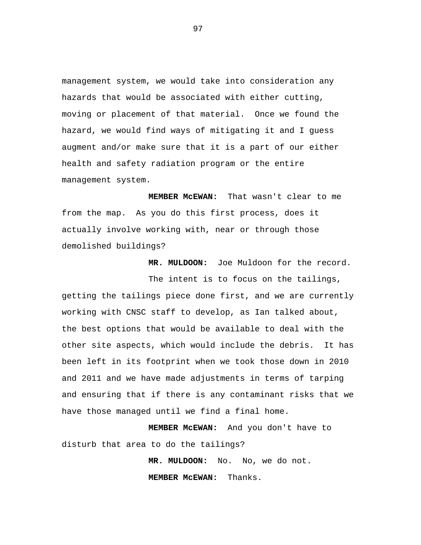management system, we would take into consideration any hazards that would be associated with either cutting, moving or placement of that material. Once we found the hazard, we would find ways of mitigating it and I guess augment and/or make sure that it is a part of our either health and safety radiation program or the entire management system.

 **MEMBER McEWAN:** That wasn't clear to me from the map. As you do this first process, does it actually involve working with, near or through those demolished buildings?

 **MR. MULDOON:** Joe Muldoon for the record.

The intent is to focus on the tailings, getting the tailings piece done first, and we are currently working with CNSC staff to develop, as Ian talked about, the best options that would be available to deal with the other site aspects, which would include the debris. It has been left in its footprint when we took those down in 2010 and 2011 and we have made adjustments in terms of tarping and ensuring that if there is any contaminant risks that we have those managed until we find a final home.

 **MEMBER McEWAN:** And you don't have to disturb that area to do the tailings?

> **MR. MULDOON:** No. No, we do not. **MEMBER McEWAN:** Thanks.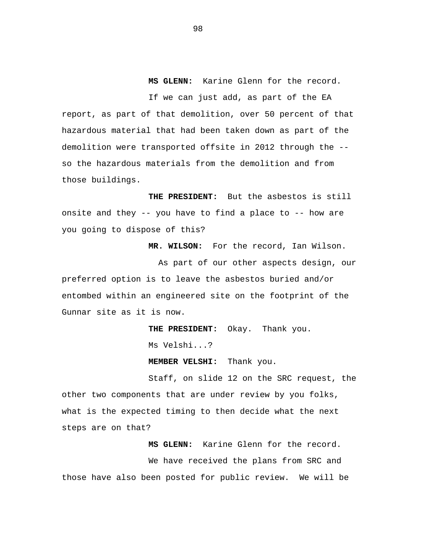**MS GLENN:** Karine Glenn for the record.

If we can just add, as part of the EA report, as part of that demolition, over 50 percent of that hazardous material that had been taken down as part of the demolition were transported offsite in 2012 through the - so the hazardous materials from the demolition and from those buildings.

 **THE PRESIDENT:** But the asbestos is still onsite and they -- you have to find a place to -- how are you going to dispose of this?

 **MR. WILSON:** For the record, Ian Wilson.

As part of our other aspects design, our preferred option is to leave the asbestos buried and/or entombed within an engineered site on the footprint of the Gunnar site as it is now.

 **THE PRESIDENT:** Okay. Thank you.

Ms Velshi...?

 **MEMBER VELSHI:** Thank you.

Staff, on slide 12 on the SRC request, the other two components that are under review by you folks, what is the expected timing to then decide what the next steps are on that?

 **MS GLENN:** Karine Glenn for the record. We have received the plans from SRC and those have also been posted for public review. We will be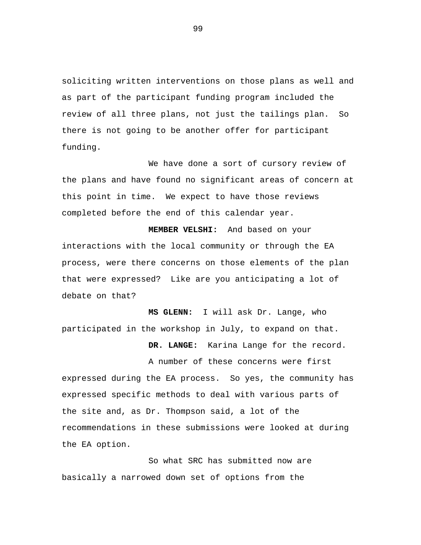soliciting written interventions on those plans as well and as part of the participant funding program included the review of all three plans, not just the tailings plan. So there is not going to be another offer for participant funding.

We have done a sort of cursory review of the plans and have found no significant areas of concern at this point in time. We expect to have those reviews completed before the end of this calendar year.

 **MEMBER VELSHI:** And based on your interactions with the local community or through the EA process, were there concerns on those elements of the plan that were expressed? Like are you anticipating a lot of debate on that?

 **MS GLENN:** I will ask Dr. Lange, who participated in the workshop in July, to expand on that.

**DR. LANGE:** Karina Lange for the record.

A number of these concerns were first expressed during the EA process. So yes, the community has expressed specific methods to deal with various parts of the site and, as Dr. Thompson said, a lot of the recommendations in these submissions were looked at during the EA option.

So what SRC has submitted now are basically a narrowed down set of options from the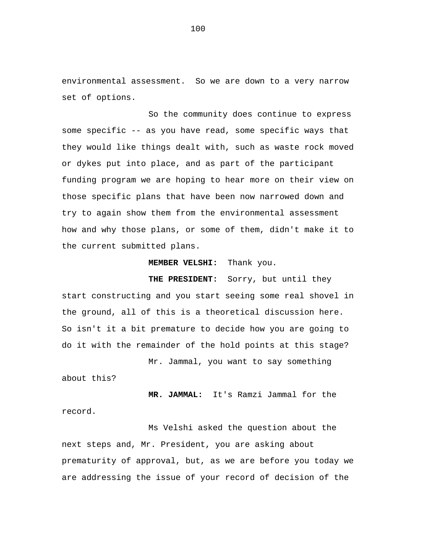environmental assessment. So we are down to a very narrow set of options.

So the community does continue to express some specific -- as you have read, some specific ways that they would like things dealt with, such as waste rock moved or dykes put into place, and as part of the participant funding program we are hoping to hear more on their view on those specific plans that have been now narrowed down and try to again show them from the environmental assessment how and why those plans, or some of them, didn't make it to the current submitted plans.

### **MEMBER VELSHI:** Thank you.

 **THE PRESIDENT:** Sorry, but until they start constructing and you start seeing some real shovel in the ground, all of this is a theoretical discussion here. So isn't it a bit premature to decide how you are going to do it with the remainder of the hold points at this stage?

Mr. Jammal, you want to say something about this?

**MR. JAMMAL:** It's Ramzi Jammal for the record.

Ms Velshi asked the question about the next steps and, Mr. President, you are asking about prematurity of approval, but, as we are before you today we are addressing the issue of your record of decision of the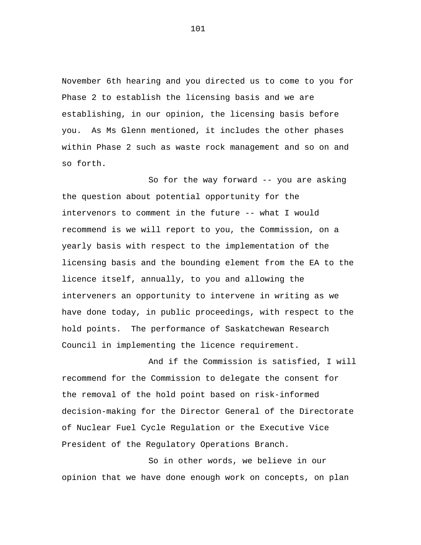November 6th hearing and you directed us to come to you for Phase 2 to establish the licensing basis and we are establishing, in our opinion, the licensing basis before you. As Ms Glenn mentioned, it includes the other phases within Phase 2 such as waste rock management and so on and so forth.

So for the way forward -- you are asking the question about potential opportunity for the intervenors to comment in the future -- what I would recommend is we will report to you, the Commission, on a yearly basis with respect to the implementation of the licensing basis and the bounding element from the EA to the licence itself, annually, to you and allowing the interveners an opportunity to intervene in writing as we have done today, in public proceedings, with respect to the hold points. The performance of Saskatchewan Research Council in implementing the licence requirement.

And if the Commission is satisfied, I will recommend for the Commission to delegate the consent for the removal of the hold point based on risk-informed decision-making for the Director General of the Directorate of Nuclear Fuel Cycle Regulation or the Executive Vice President of the Regulatory Operations Branch.

So in other words, we believe in our opinion that we have done enough work on concepts, on plan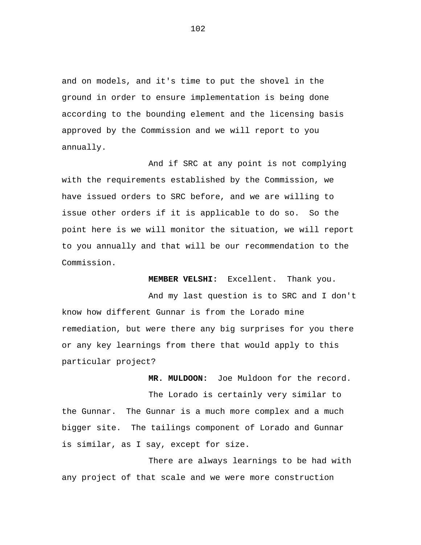and on models, and it's time to put the shovel in the ground in order to ensure implementation is being done according to the bounding element and the licensing basis approved by the Commission and we will report to you annually.

And if SRC at any point is not complying with the requirements established by the Commission, we have issued orders to SRC before, and we are willing to issue other orders if it is applicable to do so. So the point here is we will monitor the situation, we will report to you annually and that will be our recommendation to the Commission.

 **MEMBER VELSHI:** Excellent. Thank you.

 **MR. MULDOON:** Joe Muldoon for the record.

And my last question is to SRC and I don't know how different Gunnar is from the Lorado mine remediation, but were there any big surprises for you there or any key learnings from there that would apply to this particular project?

The Lorado is certainly very similar to the Gunnar. The Gunnar is a much more complex and a much bigger site. The tailings component of Lorado and Gunnar is similar, as I say, except for size.

There are always learnings to be had with any project of that scale and we were more construction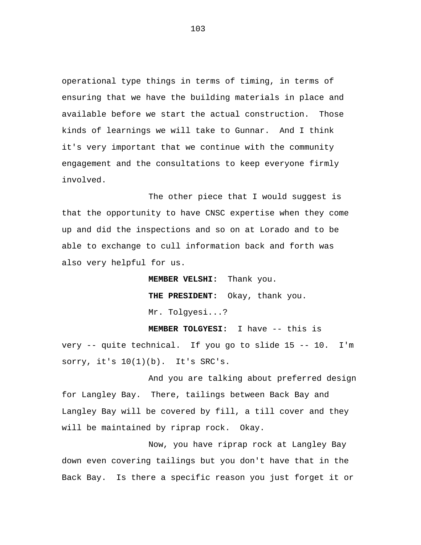operational type things in terms of timing, in terms of ensuring that we have the building materials in place and available before we start the actual construction. Those kinds of learnings we will take to Gunnar. And I think it's very important that we continue with the community engagement and the consultations to keep everyone firmly involved.

The other piece that I would suggest is that the opportunity to have CNSC expertise when they come up and did the inspections and so on at Lorado and to be able to exchange to cull information back and forth was also very helpful for us.

> **MEMBER VELSHI:** Thank you. **THE PRESIDENT:** Okay, thank you. Mr. Tolgyesi...?

**MEMBER TOLGYESI:** I have -- this is very -- quite technical. If you go to slide 15 -- 10. I'm sorry, it's  $10(1)(b)$ . It's SRC's.

And you are talking about preferred design for Langley Bay. There, tailings between Back Bay and Langley Bay will be covered by fill, a till cover and they will be maintained by riprap rock. Okay.

Now, you have riprap rock at Langley Bay down even covering tailings but you don't have that in the Back Bay. Is there a specific reason you just forget it or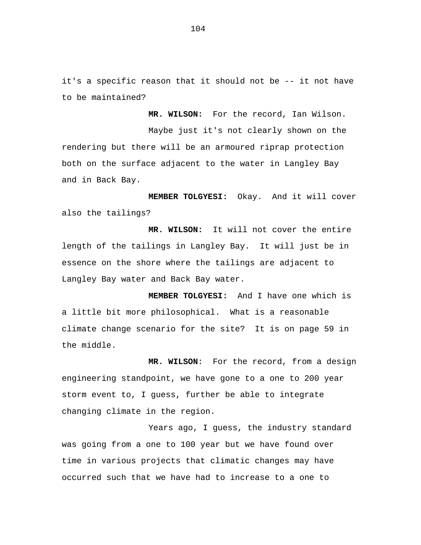it's a specific reason that it should not be -- it not have to be maintained?

**MR. WILSON:** For the record, Ian Wilson. Maybe just it's not clearly shown on the rendering but there will be an armoured riprap protection both on the surface adjacent to the water in Langley Bay and in Back Bay.

**MEMBER TOLGYESI:** Okay. And it will cover also the tailings?

**MR. WILSON:** It will not cover the entire length of the tailings in Langley Bay. It will just be in essence on the shore where the tailings are adjacent to Langley Bay water and Back Bay water.

**MEMBER TOLGYESI:** And I have one which is a little bit more philosophical. What is a reasonable climate change scenario for the site? It is on page 59 in the middle.

**MR. WILSON**: For the record, from a design engineering standpoint, we have gone to a one to 200 year storm event to, I guess, further be able to integrate changing climate in the region.

Years ago, I guess, the industry standard was going from a one to 100 year but we have found over time in various projects that climatic changes may have occurred such that we have had to increase to a one to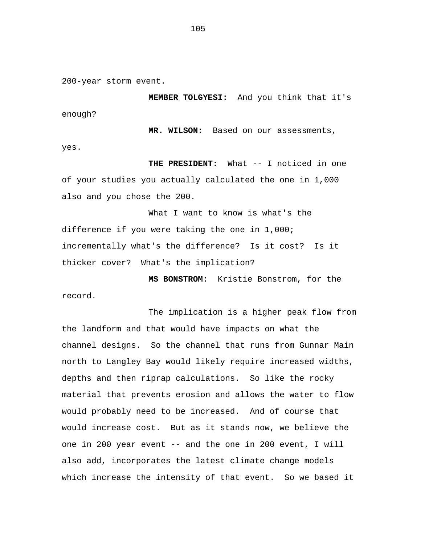200-year storm event.

**MEMBER TOLGYESI:** And you think that it's enough?

**MR. WILSON:** Based on our assessments, yes.

 **THE PRESIDENT:** What -- I noticed in one of your studies you actually calculated the one in 1,000 also and you chose the 200.

What I want to know is what's the difference if you were taking the one in 1,000; incrementally what's the difference? Is it cost? Is it thicker cover? What's the implication?

**MS BONSTROM:** Kristie Bonstrom, for the record.

The implication is a higher peak flow from the landform and that would have impacts on what the channel designs. So the channel that runs from Gunnar Main north to Langley Bay would likely require increased widths, depths and then riprap calculations. So like the rocky material that prevents erosion and allows the water to flow would probably need to be increased. And of course that would increase cost. But as it stands now, we believe the one in 200 year event -- and the one in 200 event, I will also add, incorporates the latest climate change models which increase the intensity of that event. So we based it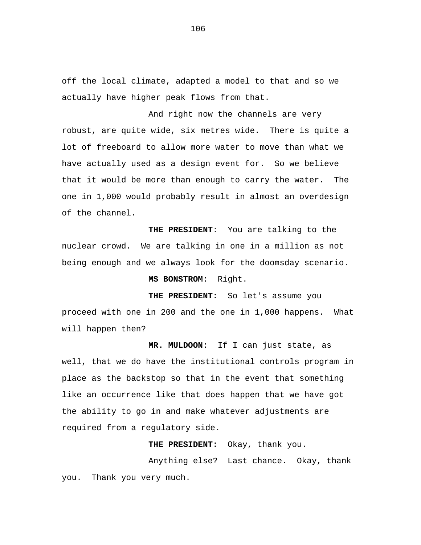off the local climate, adapted a model to that and so we actually have higher peak flows from that.

And right now the channels are very robust, are quite wide, six metres wide. There is quite a lot of freeboard to allow more water to move than what we have actually used as a design event for. So we believe that it would be more than enough to carry the water. The one in 1,000 would probably result in almost an overdesign of the channel.

**THE PRESIDENT**: You are talking to the nuclear crowd. We are talking in one in a million as not being enough and we always look for the doomsday scenario.

## **MS BONSTROM:** Right.

**THE PRESIDENT:** So let's assume you proceed with one in 200 and the one in 1,000 happens. What will happen then?

**MR. MULDOON**: If I can just state, as well, that we do have the institutional controls program in place as the backstop so that in the event that something like an occurrence like that does happen that we have got the ability to go in and make whatever adjustments are required from a regulatory side.

**THE PRESIDENT:** Okay, thank you.

Anything else? Last chance. Okay, thank you. Thank you very much.